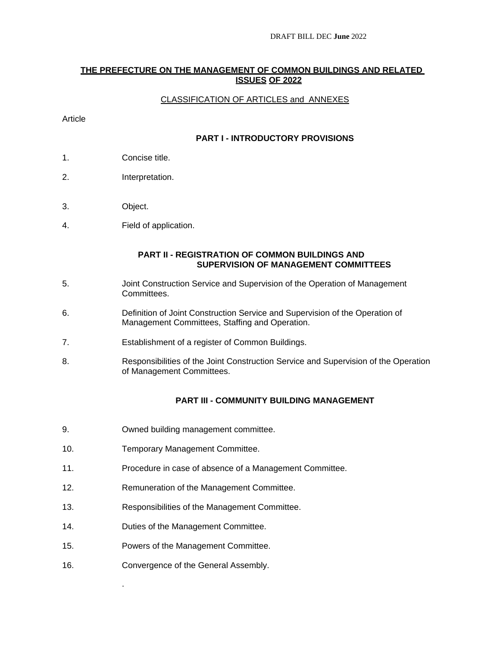#### **THE PREFECTURE ON THE MANAGEMENT OF COMMON BUILDINGS AND RELATED ISSUES OF 2022**

### CLASSIFICATION OF ARTICLES and ANNEXES

#### Article

### **PART I - INTRODUCTORY PROVISIONS**

- 1. Concise title.
- 2. Interpretation.
- 3. Object.
- 4. Field of application.

#### **PART II - REGISTRATION OF COMMON BUILDINGS AND SUPERVISION OF MANAGEMENT COMMITTEES**

- 5. Joint Construction Service and Supervision of the Operation of Management Committees.
- 6. Definition of Joint Construction Service and Supervision of the Operation of Management Committees, Staffing and Operation.
- 7. Establishment of a register of Common Buildings.
- 8. Responsibilities of the Joint Construction Service and Supervision of the Operation of Management Committees.

### **PART III - COMMUNITY BUILDING MANAGEMENT**

- 9. Owned building management committee.
- 10. Temporary Management Committee.
- 11. Procedure in case of absence of a Management Committee.
- 12. Remuneration of the Management Committee.
- 13. Responsibilities of the Management Committee.
- 14. Duties of the Management Committee.
- 15. Powers of the Management Committee.
- 16. Convergence of the General Assembly.

.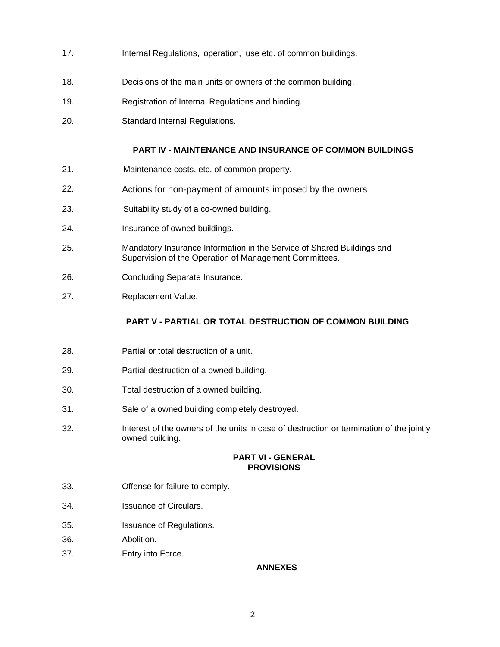- 17. Internal Regulations, operation, use etc. of common buildings.
- 18. Decisions of the main units or owners of the common building.
- 19. Registration of Internal Regulations and binding.
- 20. Standard Internal Regulations.

### **PART IV - MAINTENANCE AND INSURANCE OF COMMON BUILDINGS**

- 21. Maintenance costs, etc. of common property.
- 22. Actions for non-payment of amounts imposed by the owners
- 23. Suitability study of a co-owned building.
- 24. Insurance of owned buildings.
- 25. Mandatory Insurance Information in the Service of Shared Buildings and Supervision of the Operation of Management Committees.
- 26. Concluding Separate Insurance.
- 27. Replacement Value.

### **PART V - PARTIAL OR TOTAL DESTRUCTION OF COMMON BUILDING**

- 28. Partial or total destruction of a unit.
- 29. Partial destruction of a owned building.
- 30. Total destruction of a owned building.
- 31. Sale of a owned building completely destroyed.
- 32. Interest of the owners of the units in case of destruction or termination of the jointly owned building.

#### **PART VI - GENERAL PROVISIONS**

- 33. Offense for failure to comply.
- 34. Issuance of Circulars.
- 35. Issuance of Regulations.
- 36. Abolition.
- 37. Entry into Force.

### **ANNEXES**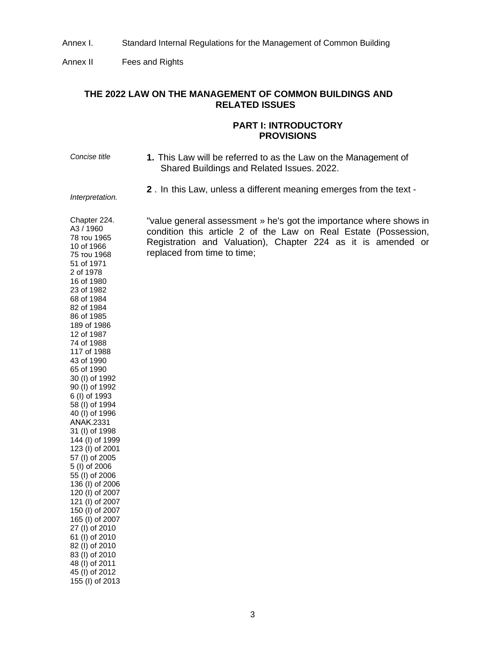Annex I. Standard Internal Regulations for the Management of Common Building

Annex II Fees and Rights

*Interpretation.* 

# **THE 2022 LAW ON THE MANAGEMENT OF COMMON BUILDINGS AND RELATED ISSUES**

#### **PART I: INTRODUCTORY PROVISIONS**

- *Concise title* **1.** This Law will be referred to as the Law on the Management of Shared Buildings and Related Issues. 2022.
	- **2** . In this Law, unless a different meaning emerges from the text -

Chapter 224. A3 / 1960 78 του 1965 10 of 1966 75 του 1968 "value general assessment » he's got the importance where shows in condition this article 2 of the Law on Real Estate (Possession, Registration and Valuation), Chapter 224 as it is amended or replaced from time to time; 51 of 1971 2 of 1978 16 of 1980 23 of 1982 68 of 1984 82 of 1984 86 of 1985 189 of 1986 12 of 1987 74 of 1988 117 of 1988 43 of 1990 65 of 1990 30 (I) of 1992 90 (I) of 1992 6 (I) of 1993 58 (I) of 1994 40 (I) of 1996 ΑΝΑΚ.2331 31 (I) of 1998 144 (I) of 1999 123 (I) of 2001 57 (I) of 2005 5 (I) of 2006 55 (I) of 2006 136 (I) of 2006 120 (I) of 2007 121 (I) of 2007 150 (I) of 2007 165 (I) of 2007 27 (I) of 2010 61 (I) of 2010 82 (I) of 2010 83 (I) of 2010 48 (I) of 2011 45 (I) of 2012 155 (I) of 2013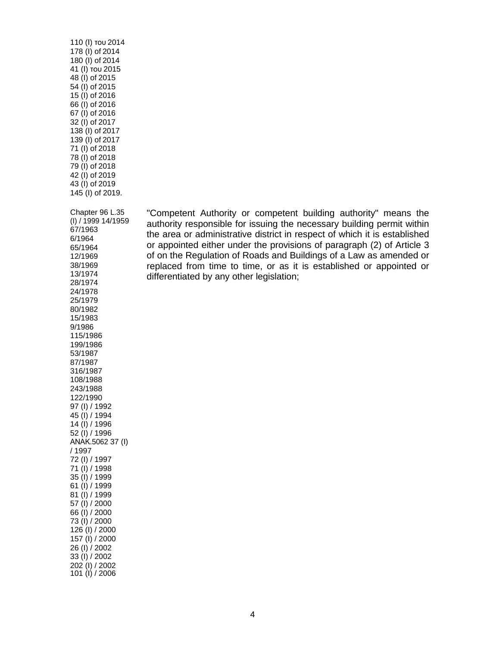110 (Ι) του 2014 178 (I) of 2014 180 (I) of 2014 41 (Ι) του 2015 48 (I) of 2015 54 (I) of 2015 15 (I) of 2016 66 (I) of 2016 67 (I) of 2016 32 (I) of 2017 138 (I) of 2017 139 (I) of 2017 71 (I) of 2018 78 (I) of 2018 79 (I) of 2018 42 (I) of 2019 43 (I) of 2019 145 (I) of 2019. Chapter 96 L.35 (I) / 1999 14/1959 67/1963 6/1964 65/1964 12/1969 38/1969 13/1974 28/1974 24/1978 25/1979 80/1982 15/1983 9/1986 115/1986 199/1986 53/1987 87/1987 316/1987 108/1988 243/1988 122/1990 97 (I) / 1992 45 (I) / 1994 14 (I) / 1996 52 (I) / 1996 ΑΝΑΚ.5062 37 (I) / 1997 72 (I) / 1997 71 (I) / 1998 35 (I) / 1999 61 (I) / 1999 81 (I) / 1999 57 (I) / 2000 66 (I) / 2000 73 (I) / 2000 126 (I) / 2000 157 (I) / 2000 26 (I) / 2002 33 (I) / 2002 202 (I) / 2002 101 (I) / 2006

"Competent Authority or competent building authority" means the authority responsible for issuing the necessary building permit within the area or administrative district in respect of which it is established or appointed either under the provisions of paragraph (2) of Article 3 of on the Regulation of Roads and Buildings of a Law as amended or replaced from time to time, or as it is established or appointed or differentiated by any other legislation;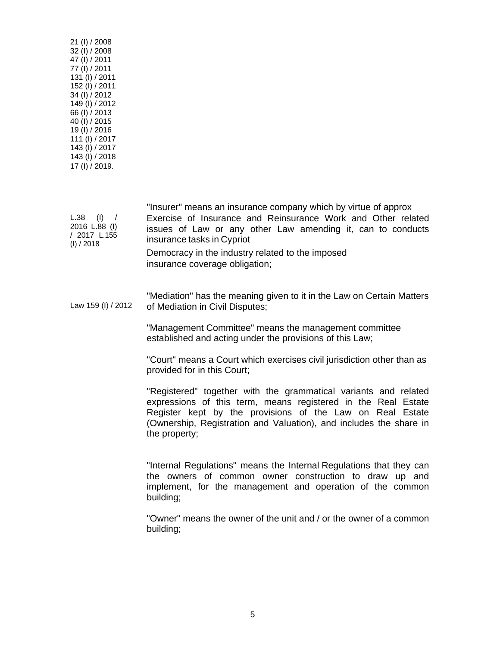| 21 (I) / 2008<br>32 (I) / 2008<br>47 (I) / 2011<br>77 (I) / 2011<br>131 (I) / 2011<br>152 (I) / 2011<br>34 (I) / 2012<br>149 (I) / 2012<br>66 (I) / 2013<br>40 (I) / 2015<br>19(I) / 2016<br>111 (I) / 2017<br>143 (I) / 2017<br>143 (I) / 2018<br>17 (I) / 2019. |                                                                                                                                                                                                                                                                                                                                                                                                                                                                                                                                         |
|-------------------------------------------------------------------------------------------------------------------------------------------------------------------------------------------------------------------------------------------------------------------|-----------------------------------------------------------------------------------------------------------------------------------------------------------------------------------------------------------------------------------------------------------------------------------------------------------------------------------------------------------------------------------------------------------------------------------------------------------------------------------------------------------------------------------------|
| $L.38$ (I) /<br>2016 L.88 (I)<br>/ 2017 L.155<br>(I) / 2018                                                                                                                                                                                                       | "Insurer" means an insurance company which by virtue of approx<br>Exercise of Insurance and Reinsurance Work and Other related<br>issues of Law or any other Law amending it, can to conducts<br>insurance tasks in Cypriot<br>Democracy in the industry related to the imposed<br>insurance coverage obligation;                                                                                                                                                                                                                       |
| Law 159 (I) / 2012                                                                                                                                                                                                                                                | "Mediation" has the meaning given to it in the Law on Certain Matters<br>of Mediation in Civil Disputes;<br>"Management Committee" means the management committee<br>established and acting under the provisions of this Law;<br>"Court" means a Court which exercises civil jurisdiction other than as<br>provided for in this Court;<br>"Registered" together with the grammatical variants and related<br>expressions of this term, means registered in the Real Estate<br>Register kept by the provisions of the Law on Real Estate |
|                                                                                                                                                                                                                                                                   | (Ownership, Registration and Valuation), and includes the share in<br>the property;<br>"Internal Regulations" means the Internal Regulations that they can<br>the owners of common owner construction to draw up and<br>implement, for the management and operation of the common<br>building;                                                                                                                                                                                                                                          |

"Owner" means the owner of the unit and / or the owner of a common building;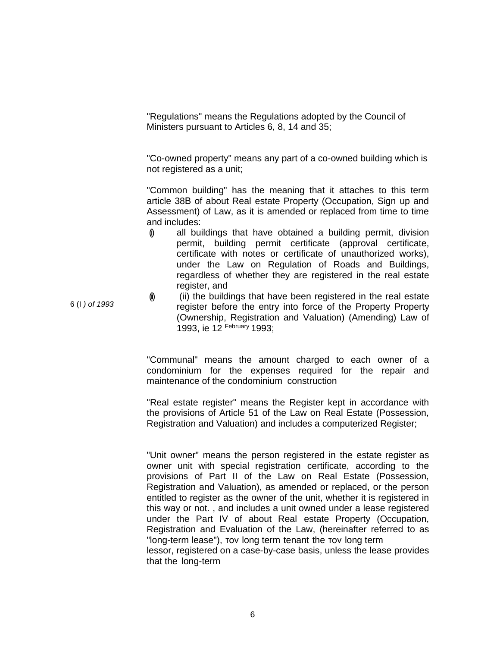"Regulations" means the Regulations adopted by the Council of Ministers pursuant to Articles 6, 8, 14 and 35;

"Co-owned property" means any part of a co-owned building which is not registered as a unit;

"Common building" has the meaning that it attaches to this term article 38Β of about Real estate Property (Occupation, Sign up and Assessment) of Law, as it is amended or replaced from time to time and includes:

- (i) all buildings that have obtained a building permit, division permit, building permit certificate (approval certificate, certificate with notes or certificate of unauthorized works), under the Law on Regulation of Roads and Buildings, regardless of whether they are registered in the real estate register, and
- (ii) the buildings that have been registered in the real estate register before the entry into force of the Property Property (Ownership, Registration and Valuation) (Amending) Law of 1993, ie 12 February 1993;

"Communal" means the amount charged to each owner of a condominium for the expenses required for the repair and maintenance of the condominium construction

"Real estate register" means the Register kept in accordance with the provisions of Article 51 of the Law on Real Estate (Possession, Registration and Valuation) and includes a computerized Register;

"Unit owner" means the person registered in the estate register as owner unit with special registration certificate, according to the provisions of Part II of the Law on Real Estate (Possession, Registration and Valuation), as amended or replaced, or the person entitled to register as the owner of the unit, whether it is registered in this way or not. , and includes a unit owned under a lease registered under the Part IV of about Real estate Property (Occupation, Registration and Evaluation of the Law, (hereinafter referred to as "long-term lease"), τον long term tenant the τον long term lessor, registered on a case-by-case basis, unless the lease provides that the long-term

6 (I *) of 1993*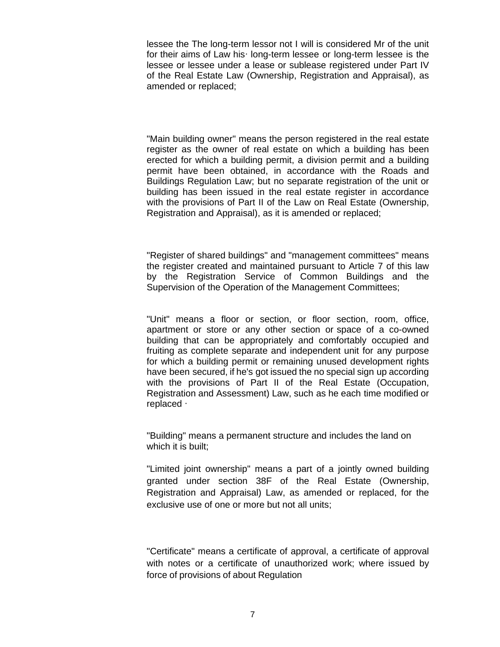lessee the The long-term lessor not I will is considered Mr of the unit for their aims of Law hish long-term lessee or long-term lessee is the lessee or lessee under a lease or sublease registered under Part IV of the Real Estate Law (Ownership, Registration and Appraisal), as amended or replaced;

"Main building owner" means the person registered in the real estate register as the owner of real estate on which a building has been erected for which a building permit, a division permit and a building permit have been obtained, in accordance with the Roads and Buildings Regulation Law; but no separate registration of the unit or building has been issued in the real estate register in accordance with the provisions of Part II of the Law on Real Estate (Ownership, Registration and Appraisal), as it is amended or replaced;

"Register of shared buildings" and "management committees" means the register created and maintained pursuant to Article 7 of this law by the Registration Service of Common Buildings and the Supervision of the Operation of the Management Committees;

"Unit" means a floor or section, or floor section, room, office, apartment or store or any other section or space of a co-owned building that can be appropriately and comfortably occupied and fruiting as complete separate and independent unit for any purpose for which a building permit or remaining unused development rights have been secured, if he's got issued the no special sign up according with the provisions of Part II of the Real Estate (Occupation, Registration and Assessment) Law, such as he each time modified or replaced  $\cdot$ 

"Building" means a permanent structure and includes the land on which it is built;

"Limited joint ownership" means a part of a jointly owned building granted under section 38F of the Real Estate (Ownership, Registration and Appraisal) Law, as amended or replaced, for the exclusive use of one or more but not all units;

"Certificate" means a certificate of approval, a certificate of approval with notes or a certificate of unauthorized work; where issued by force of provisions of about Regulation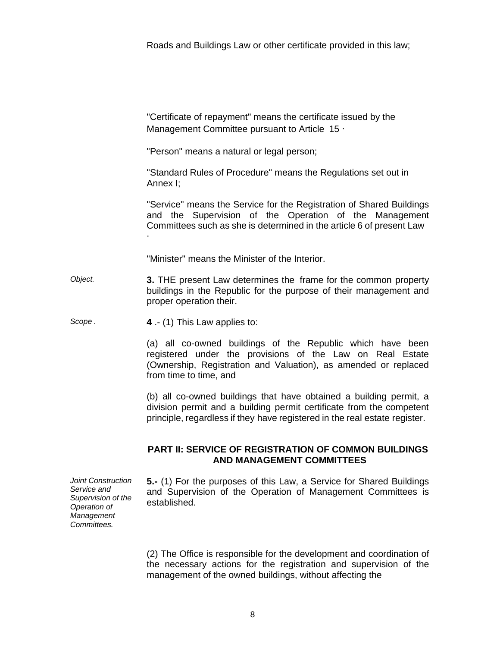Roads and Buildings Law or other certificate provided in this law;

"Certificate of repayment" means the certificate issued by the Management Committee pursuant to Article 15  $\cdot$ 

"Person" means a natural or legal person;

"Standard Rules of Procedure" means the Regulations set out in Annex I;

"Service" means the Service for the Registration of Shared Buildings and the Supervision of the Operation of the Management Committees such as she is determined in the article 6 of present Law ∙

"Minister" means the Minister of the Interior.

*Object.* **3.** THE present Law determines the frame for the common property buildings in the Republic for the purpose of their management and proper operation their.

*Scope .* **4** .- (1) This Law applies to:

(a) all co-owned buildings of the Republic which have been registered under the provisions of the Law on Real Estate (Ownership, Registration and Valuation), as amended or replaced from time to time, and

(b) all co-owned buildings that have obtained a building permit, a division permit and a building permit certificate from the competent principle, regardless if they have registered in the real estate register.

# **PART II: SERVICE OF REGISTRATION OF COMMON BUILDINGS AND MANAGEMENT COMMITTEES**

*Joint Construction Service and Supervision of the Operation of Management Committees.* 

**5.-** (1) For the purposes of this Law, a Service for Shared Buildings and Supervision of the Operation of Management Committees is established.

(2) The Office is responsible for the development and coordination of the necessary actions for the registration and supervision of the management of the owned buildings, without affecting the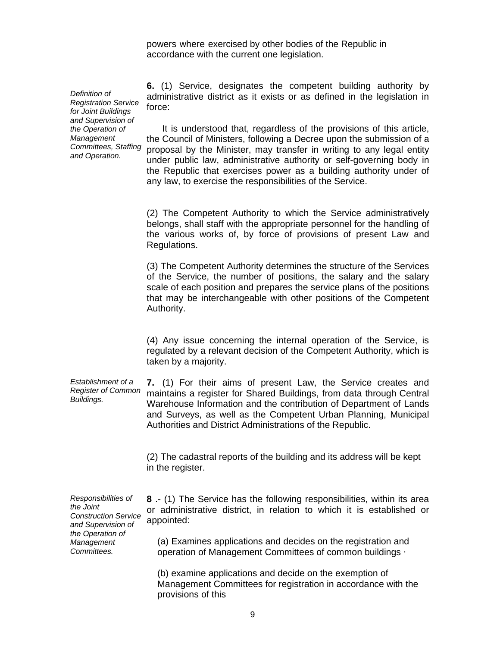powers where exercised by other bodies of the Republic in accordance with the current one legislation.

*Definition of Registration Service for Joint Buildings and Supervision of the Operation of Management Committees, Staffing and Operation.* 

**6.** (1) Service, designates the competent building authority by administrative district as it exists or as defined in the legislation in force:

It is understood that, regardless of the provisions of this article, the Council of Ministers, following a Decree upon the submission of a proposal by the Minister, may transfer in writing to any legal entity under public law, administrative authority or self-governing body in the Republic that exercises power as a building authority under of any law, to exercise the responsibilities of the Service.

(2) The Competent Authority to which the Service administratively belongs, shall staff with the appropriate personnel for the handling of the various works of, by force of provisions of present Law and Regulations.

(3) The Competent Authority determines the structure of the Services of the Service, the number of positions, the salary and the salary scale of each position and prepares the service plans of the positions that may be interchangeable with other positions of the Competent Authority.

(4) Any issue concerning the internal operation of the Service, is regulated by a relevant decision of the Competent Authority, which is taken by a majority.

*Establishment of a Register of Common Buildings.*  **7.** (1) For their aims of present Law, the Service creates and maintains a register for Shared Buildings, from data through Central Warehouse Information and the contribution of Department of Lands and Surveys, as well as the Competent Urban Planning, Municipal Authorities and District Administrations of the Republic.

> (2) The cadastral reports of the building and its address will be kept in the register.

*Responsibilities of the Joint Construction Service and Supervision of the Operation of Management Committees.* 

**8** .- (1) The Service has the following responsibilities, within its area or administrative district, in relation to which it is established or appointed:

(a) Examines applications and decides on the registration and operation of Management Committees of common buildings ∙

(b) examine applications and decide on the exemption of Management Committees for registration in accordance with the provisions of this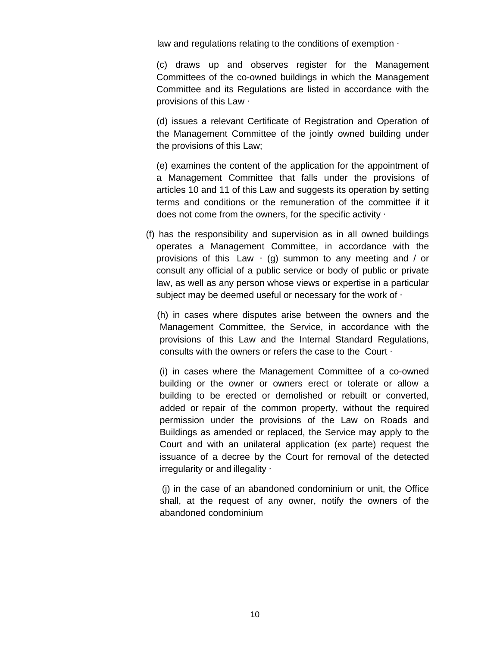law and regulations relating to the conditions of exemption ∙

(c) draws up and observes register for the Management Committees of the co-owned buildings in which the Management Committee and its Regulations are listed in accordance with the provisions of this Law ∙

(d) issues a relevant Certificate of Registration and Operation of the Management Committee of the jointly owned building under the provisions of this Law;

(e) examines the content of the application for the appointment of a Management Committee that falls under the provisions of articles 10 and 11 of this Law and suggests its operation by setting terms and conditions or the remuneration of the committee if it does not come from the owners, for the specific activity ∙

(f) has the responsibility and supervision as in all owned buildings operates a Management Committee, in accordance with the provisions of this Law  $\cdot$  (g) summon to any meeting and / or consult any official of a public service or body of public or private law, as well as any person whose views or expertise in a particular subject may be deemed useful or necessary for the work of ∙

(h) in cases where disputes arise between the owners and the Management Committee, the Service, in accordance with the provisions of this Law and the Internal Standard Regulations, consults with the owners or refers the case to the Court ∙

(i) in cases where the Management Committee of a co-owned building or the owner or owners erect or tolerate or allow a building to be erected or demolished or rebuilt or converted, added or repair of the common property, without the required permission under the provisions of the Law on Roads and Buildings as amended or replaced, the Service may apply to the Court and with an unilateral application (ex parte) request the issuance of a decree by the Court for removal of the detected irregularity or and illegality ∙

(j) in the case of an abandoned condominium or unit, the Office shall, at the request of any owner, notify the owners of the abandoned condominium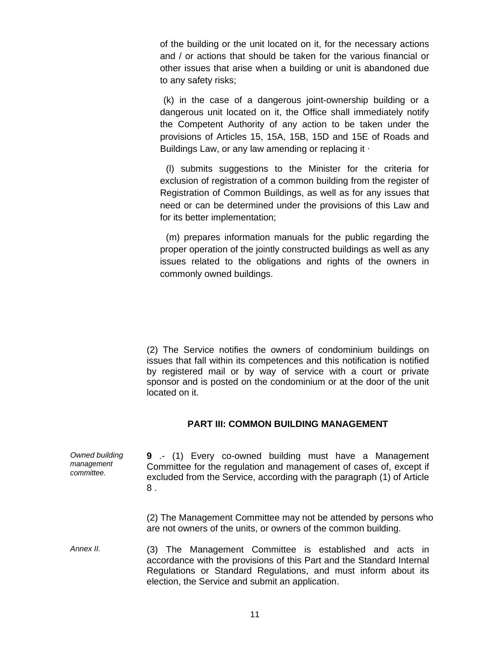of the building or the unit located on it, for the necessary actions and / or actions that should be taken for the various financial or other issues that arise when a building or unit is abandoned due to any safety risks;

(k) in the case of a dangerous joint-ownership building or a dangerous unit located on it, the Office shall immediately notify the Competent Authority of any action to be taken under the provisions of Articles 15, 15A, 15B, 15D and 15E of Roads and Buildings Law, or any law amending or replacing it ∙

(l) submits suggestions to the Minister for the criteria for exclusion of registration of a common building from the register of Registration of Common Buildings, as well as for any issues that need or can be determined under the provisions of this Law and for its better implementation;

(m) prepares information manuals for the public regarding the proper operation of the jointly constructed buildings as well as any issues related to the obligations and rights of the owners in commonly owned buildings.

(2) The Service notifies the owners of condominium buildings on issues that fall within its competences and this notification is notified by registered mail or by way of service with a court or private sponsor and is posted on the condominium or at the door of the unit located on it.

# **PART III: COMMON BUILDING MANAGEMENT**

| Owned building<br>management<br>committee. | 9 .- (1) Every co-owned building must have a Management<br>Committee for the regulation and management of cases of, except if<br>excluded from the Service, according with the paragraph (1) of Article<br>8. |
|--------------------------------------------|---------------------------------------------------------------------------------------------------------------------------------------------------------------------------------------------------------------|
|                                            | (2) The Management Committee may not be attended by persons who<br>are not owners of the units, or owners of the common building.                                                                             |
| Anney II                                   | $(2)$ The Management Committee is established and acts in                                                                                                                                                     |

*Annex II.* (3) The Management Committee is established and acts in accordance with the provisions of this Part and the Standard Internal Regulations or Standard Regulations, and must inform about its election, the Service and submit an application.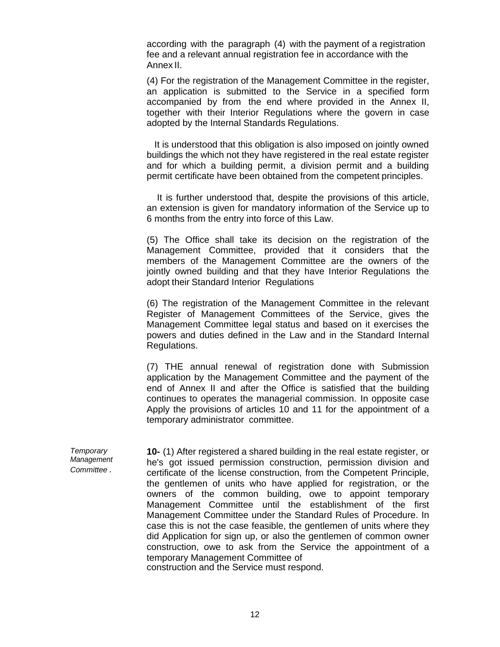according with the paragraph (4) with the payment of a registration fee and a relevant annual registration fee in accordance with the Annex II.

(4) For the registration of the Management Committee in the register, an application is submitted to the Service in a specified form accompanied by from the end where provided in the Annex II, together with their Interior Regulations where the govern in case adopted by the Internal Standards Regulations.

It is understood that this obligation is also imposed on jointly owned buildings the which not they have registered in the real estate register and for which a building permit, a division permit and a building permit certificate have been obtained from the competent principles.

It is further understood that, despite the provisions of this article, an extension is given for mandatory information of the Service up to 6 months from the entry into force of this Law.

(5) The Office shall take its decision on the registration of the Management Committee, provided that it considers that the members of the Management Committee are the owners of the jointly owned building and that they have Interior Regulations the adopt their Standard Interior Regulations

(6) The registration of the Management Committee in the relevant Register of Management Committees of the Service, gives the Management Committee legal status and based on it exercises the powers and duties defined in the Law and in the Standard Internal Regulations.

(7) THE annual renewal of registration done with Submission application by the Management Committee and the payment of the end of Annex II and after the Office is satisfied that the building continues to operates the managerial commission. In opposite case Apply the provisions of articles 10 and 11 for the appointment of a temporary administrator committee.

*Temporary Management Committee .*  **10-** (1) After registered a shared building in the real estate register, or he's got issued permission construction, permission division and certificate of the license construction, from the Competent Principle, the gentlemen of units who have applied for registration, or the owners of the common building, owe to appoint temporary Management Committee until the establishment of the first Management Committee under the Standard Rules of Procedure. In case this is not the case feasible, the gentlemen of units where they did Application for sign up, or also the gentlemen of common owner construction, owe to ask from the Service the appointment of a temporary Management Committee of construction and the Service must respond.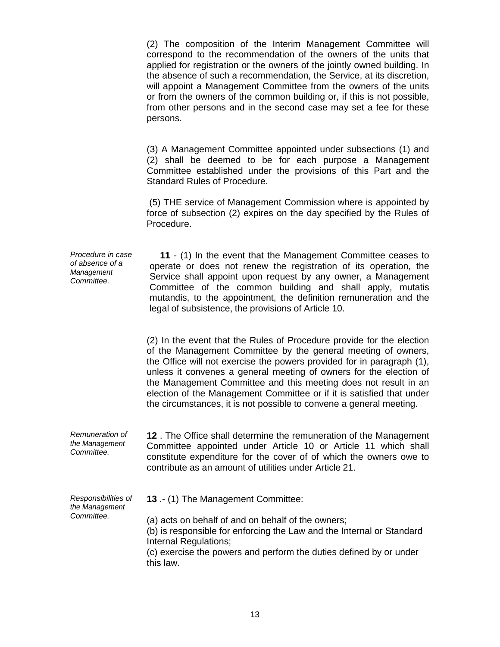(2) The composition of the Interim Management Committee will correspond to the recommendation of the owners of the units that applied for registration or the owners of the jointly owned building. In the absence of such a recommendation, the Service, at its discretion, will appoint a Management Committee from the owners of the units or from the owners of the common building or, if this is not possible, from other persons and in the second case may set a fee for these persons.

(3) A Management Committee appointed under subsections (1) and (2) shall be deemed to be for each purpose a Management Committee established under the provisions of this Part and the Standard Rules of Procedure.

(5) THE service of Management Commission where is appointed by force of subsection (2) expires on the day specified by the Rules of Procedure.

*Procedure in case of absence of a Management Committee.*  **11** - (1) In the event that the Management Committee ceases to operate or does not renew the registration of its operation, the Service shall appoint upon request by any owner, a Management Committee of the common building and shall apply, mutatis mutandis, to the appointment, the definition remuneration and the legal of subsistence, the provisions of Article 10.

> (2) In the event that the Rules of Procedure provide for the election of the Management Committee by the general meeting of owners, the Office will not exercise the powers provided for in paragraph (1), unless it convenes a general meeting of owners for the election of the Management Committee and this meeting does not result in an election of the Management Committee or if it is satisfied that under the circumstances, it is not possible to convene a general meeting.

*Remuneration of the Management Committee.*  **12** . The Office shall determine the remuneration of the Management Committee appointed under Article 10 or Article 11 which shall constitute expenditure for the cover of of which the owners owe to contribute as an amount of utilities under Article 21.

*Responsibilities of the Management Committee.* 

**13** .- (1) The Management Committee:

(a) acts on behalf of and on behalf of the owners;

(b) is responsible for enforcing the Law and the Internal or Standard Internal Regulations;

(c) exercise the powers and perform the duties defined by or under this law.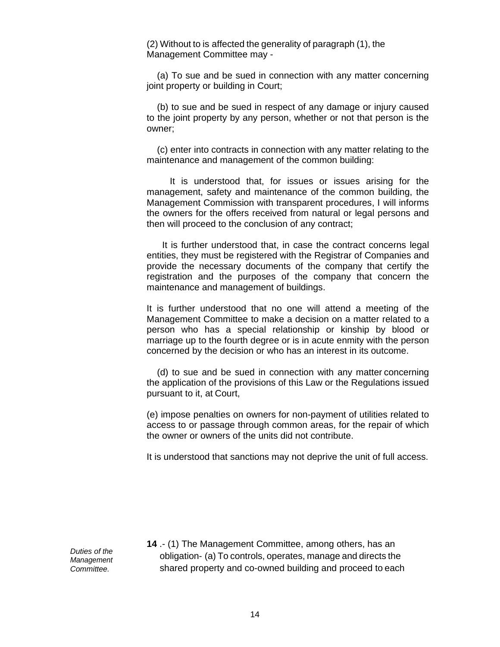(2) Without to is affected the generality of paragraph (1), the Management Committee may -

(a) To sue and be sued in connection with any matter concerning joint property or building in Court;

(b) to sue and be sued in respect of any damage or injury caused to the joint property by any person, whether or not that person is the owner;

(c) enter into contracts in connection with any matter relating to the maintenance and management of the common building:

It is understood that, for issues or issues arising for the management, safety and maintenance of the common building, the Management Commission with transparent procedures, I will informs the owners for the offers received from natural or legal persons and then will proceed to the conclusion of any contract;

It is further understood that, in case the contract concerns legal entities, they must be registered with the Registrar of Companies and provide the necessary documents of the company that certify the registration and the purposes of the company that concern the maintenance and management of buildings.

It is further understood that no one will attend a meeting of the Management Committee to make a decision on a matter related to a person who has a special relationship or kinship by blood or marriage up to the fourth degree or is in acute enmity with the person concerned by the decision or who has an interest in its outcome.

(d) to sue and be sued in connection with any matter concerning the application of the provisions of this Law or the Regulations issued pursuant to it, at Court,

(e) impose penalties on owners for non-payment of utilities related to access to or passage through common areas, for the repair of which the owner or owners of the units did not contribute.

It is understood that sanctions may not deprive the unit of full access.

*Duties of the Management Committee.* 

**14** .- (1) The Management Committee, among others, has an obligation- (a) To controls, operates, manage and directs the shared property and co-owned building and proceed to each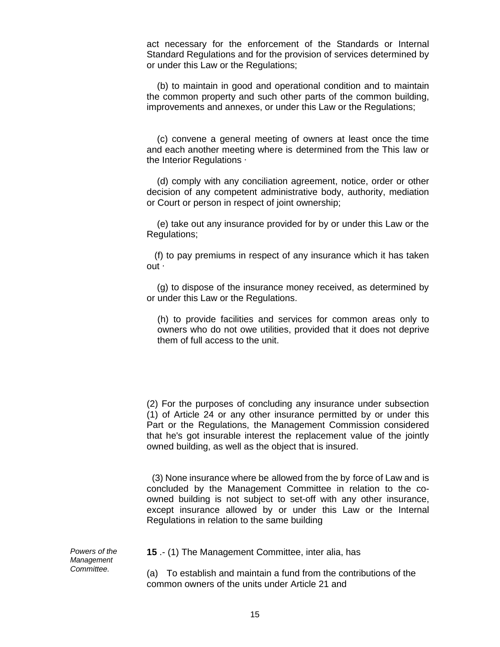act necessary for the enforcement of the Standards or Internal Standard Regulations and for the provision of services determined by or under this Law or the Regulations;

(b) to maintain in good and operational condition and to maintain the common property and such other parts of the common building, improvements and annexes, or under this Law or the Regulations;

(c) convene a general meeting of owners at least once the time and each another meeting where is determined from the This law or the Interior Regulations ∙

(d) comply with any conciliation agreement, notice, order or other decision of any competent administrative body, authority, mediation or Court or person in respect of joint ownership;

(e) take out any insurance provided for by or under this Law or the Regulations;

(f) to pay premiums in respect of any insurance which it has taken out ∙

(g) to dispose of the insurance money received, as determined by or under this Law or the Regulations.

(h) to provide facilities and services for common areas only to owners who do not owe utilities, provided that it does not deprive them of full access to the unit.

(2) For the purposes of concluding any insurance under subsection (1) of Article 24 or any other insurance permitted by or under this Part or the Regulations, the Management Commission considered that he's got insurable interest the replacement value of the jointly owned building, as well as the object that is insured.

(3) None insurance where be allowed from the by force of Law and is concluded by the Management Committee in relation to the coowned building is not subject to set-off with any other insurance, except insurance allowed by or under this Law or the Internal Regulations in relation to the same building

*Powers of the Management Committee.* 

**15** .- (1) The Management Committee, inter alia, has

(a) To establish and maintain a fund from the contributions of the common owners of the units under Article 21 and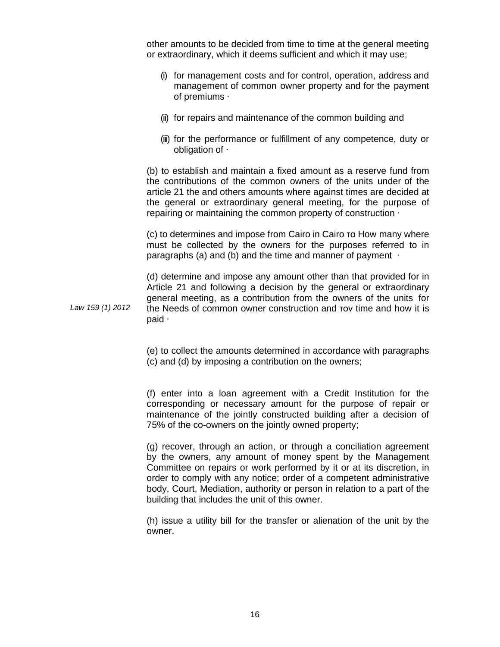other amounts to be decided from time to time at the general meeting or extraordinary, which it deems sufficient and which it may use;

- (i) for management costs and for control, operation, address and management of common owner property and for the payment of premiums ∙
- (ii) for repairs and maintenance of the common building and
- (iii) for the performance or fulfillment of any competence, duty or obligation of ∙

(b) to establish and maintain a fixed amount as a reserve fund from the contributions of the common owners of the units under of the article 21 the and others amounts where against times are decided at the general or extraordinary general meeting, for the purpose of repairing or maintaining the common property of construction ∙

(c) to determines and impose from Cairo in Cairo τα How many where must be collected by the owners for the purposes referred to in paragraphs (a) and (b) and the time and manner of payment ⋅

*Law 159 (1) 2012*  (d) determine and impose any amount other than that provided for in Article 21 and following a decision by the general or extraordinary general meeting, as a contribution from the owners of the units for the Needs of common owner construction and τον time and how it is paid ∙

> (e) to collect the amounts determined in accordance with paragraphs (c) and (d) by imposing a contribution on the owners;

> (f) enter into a loan agreement with a Credit Institution for the corresponding or necessary amount for the purpose of repair or maintenance of the jointly constructed building after a decision of 75% of the co-owners on the jointly owned property;

> (g) recover, through an action, or through a conciliation agreement by the owners, any amount of money spent by the Management Committee on repairs or work performed by it or at its discretion, in order to comply with any notice; order of a competent administrative body, Court, Mediation, authority or person in relation to a part of the building that includes the unit of this owner.

> (h) issue a utility bill for the transfer or alienation of the unit by the owner.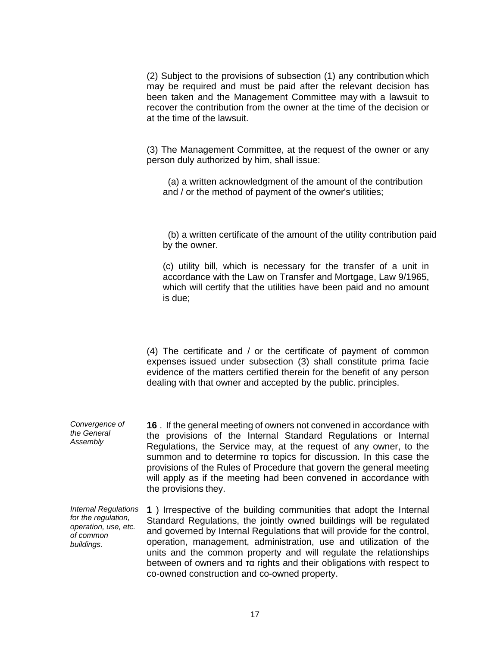(2) Subject to the provisions of subsection (1) any contribution which may be required and must be paid after the relevant decision has been taken and the Management Committee may with a lawsuit to recover the contribution from the owner at the time of the decision or at the time of the lawsuit.

(3) The Management Committee, at the request of the owner or any person duly authorized by him, shall issue:

(a) a written acknowledgment of the amount of the contribution and / or the method of payment of the owner's utilities;

(b) a written certificate of the amount of the utility contribution paid by the owner.

(c) utility bill, which is necessary for the transfer of a unit in accordance with the Law on Transfer and Mortgage, Law 9/1965, which will certify that the utilities have been paid and no amount is due;

(4) The certificate and / or the certificate of payment of common expenses issued under subsection (3) shall constitute prima facie evidence of the matters certified therein for the benefit of any person dealing with that owner and accepted by the public. principles.

*Convergence of the General Assembly*  **16** . If the general meeting of owners not convened in accordance with the provisions of the Internal Standard Regulations or Internal Regulations, the Service may, at the request of any owner, to the summon and to determine τα topics for discussion. In this case the provisions of the Rules of Procedure that govern the general meeting will apply as if the meeting had been convened in accordance with the provisions they.

*Internal Regulations for the regulation, operation, use, etc. of common buildings.*  **1** ) Irrespective of the building communities that adopt the Internal Standard Regulations, the jointly owned buildings will be regulated and governed by Internal Regulations that will provide for the control, operation, management, administration, use and utilization of the units and the common property and will regulate the relationships between of owners and τα rights and their obligations with respect to co-owned construction and co-owned property.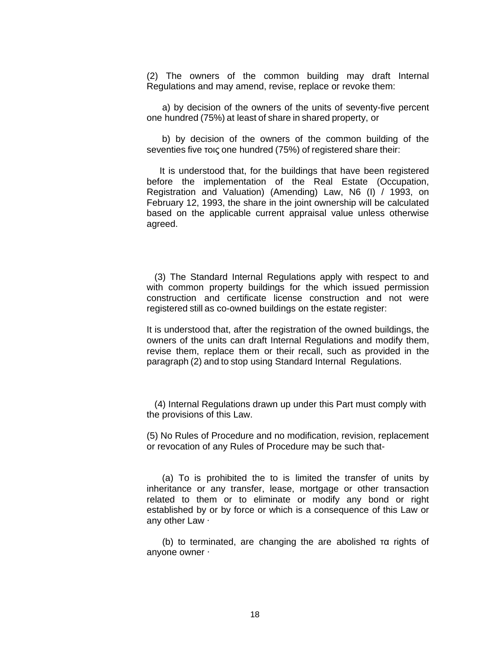(2) The owners of the common building may draft Internal Regulations and may amend, revise, replace or revoke them:

a) by decision of the owners of the units of seventy-five percent one hundred (75%) at least of share in shared property, or

b) by decision of the owners of the common building of the seventies five τοις one hundred (75%) of registered share their:

It is understood that, for the buildings that have been registered before the implementation of the Real Estate (Occupation, Registration and Valuation) (Amending) Law, N6 (I) / 1993, on February 12, 1993, the share in the joint ownership will be calculated based on the applicable current appraisal value unless otherwise agreed.

(3) The Standard Internal Regulations apply with respect to and with common property buildings for the which issued permission construction and certificate license construction and not were registered still as co-owned buildings on the estate register:

It is understood that, after the registration of the owned buildings, the owners of the units can draft Internal Regulations and modify them, revise them, replace them or their recall, such as provided in the paragraph (2) and to stop using Standard Internal Regulations.

(4) Internal Regulations drawn up under this Part must comply with the provisions of this Law.

(5) No Rules of Procedure and no modification, revision, replacement or revocation of any Rules of Procedure may be such that-

(a) To is prohibited the to is limited the transfer of units by inheritance or any transfer, lease, mortgage or other transaction related to them or to eliminate or modify any bond or right established by or by force or which is a consequence of this Law or any other Law ∙

(b) to terminated, are changing the are abolished τα rights of anyone owner ∙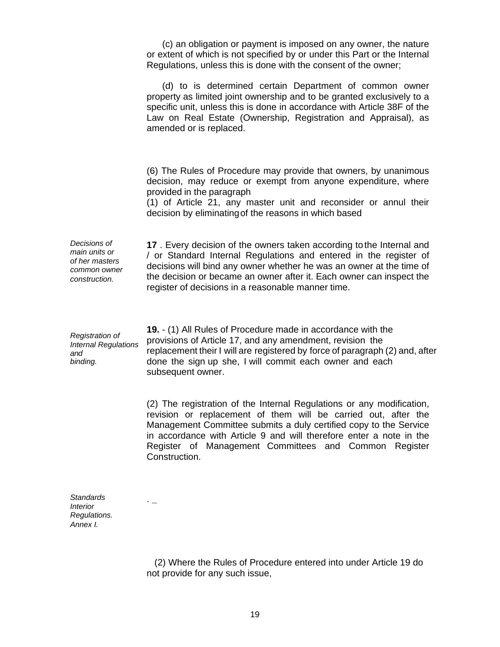|                                                                                  | (c) an obligation or payment is imposed on any owner, the nature<br>or extent of which is not specified by or under this Part or the Internal<br>Regulations, unless this is done with the consent of the owner;                                                                                                                                              |
|----------------------------------------------------------------------------------|---------------------------------------------------------------------------------------------------------------------------------------------------------------------------------------------------------------------------------------------------------------------------------------------------------------------------------------------------------------|
|                                                                                  | (d) to is determined certain Department of common owner<br>property as limited joint ownership and to be granted exclusively to a<br>specific unit, unless this is done in accordance with Article 38F of the<br>Law on Real Estate (Ownership, Registration and Appraisal), as<br>amended or is replaced.                                                    |
|                                                                                  | (6) The Rules of Procedure may provide that owners, by unanimous<br>decision, may reduce or exempt from anyone expenditure, where<br>provided in the paragraph<br>(1) of Article 21, any master unit and reconsider or annul their<br>decision by eliminating of the reasons in which based                                                                   |
| Decisions of<br>main units or<br>of her masters<br>common owner<br>construction. | 17. Every decision of the owners taken according to the Internal and<br>/ or Standard Internal Regulations and entered in the register of<br>decisions will bind any owner whether he was an owner at the time of<br>the decision or became an owner after it. Each owner can inspect the<br>register of decisions in a reasonable manner time.               |
| Registration of<br><b>Internal Regulations</b><br>and<br>binding.                | 19. - (1) All Rules of Procedure made in accordance with the<br>provisions of Article 17, and any amendment, revision the<br>replacement their I will are registered by force of paragraph (2) and, after<br>done the sign up she, I will commit each owner and each<br>subsequent owner.                                                                     |
|                                                                                  | (2) The registration of the Internal Regulations or any modification,<br>revision or replacement of them will be carried out, after the<br>Management Committee submits a duly certified copy to the Service<br>in accordance with Article 9 and will therefore enter a note in the<br>Register of Management Committees and Common Register<br>Construction. |

*Standards* . **\_** *Interior Regulations. Annex I.* 

> (2) Where the Rules of Procedure entered into under Article 19 do not provide for any such issue,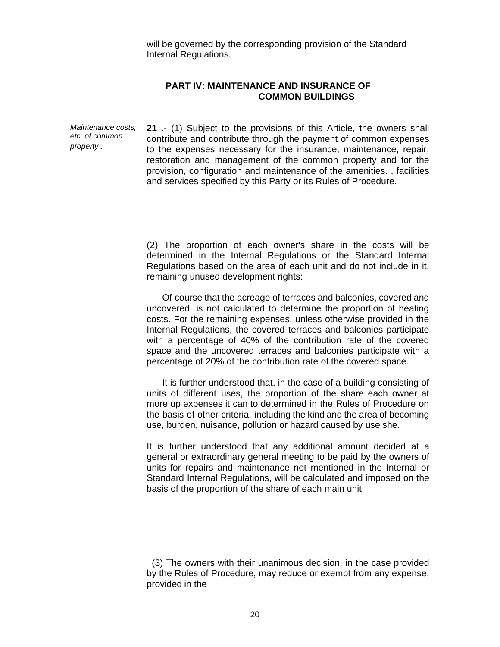will be governed by the corresponding provision of the Standard Internal Regulations.

### **PART IV: MAINTENANCE AND INSURANCE OF COMMON BUILDINGS**

*Maintenance costs, etc. of common property .* 

**21** .- (1) Subject to the provisions of this Article, the owners shall contribute and contribute through the payment of common expenses to the expenses necessary for the insurance, maintenance, repair, restoration and management of the common property and for the provision, configuration and maintenance of the amenities. , facilities and services specified by this Party or its Rules of Procedure.

(2) The proportion of each owner's share in the costs will be determined in the Internal Regulations or the Standard Internal Regulations based on the area of each unit and do not include in it, remaining unused development rights:

Of course that the acreage of terraces and balconies, covered and uncovered, is not calculated to determine the proportion of heating costs. For the remaining expenses, unless otherwise provided in the Internal Regulations, the covered terraces and balconies participate with a percentage of 40% of the contribution rate of the covered space and the uncovered terraces and balconies participate with a percentage of 20% of the contribution rate of the covered space.

It is further understood that, in the case of a building consisting of units of different uses, the proportion of the share each owner at more up expenses it can to determined in the Rules of Procedure on the basis of other criteria, including the kind and the area of becoming use, burden, nuisance, pollution or hazard caused by use she.

It is further understood that any additional amount decided at a general or extraordinary general meeting to be paid by the owners of units for repairs and maintenance not mentioned in the Internal or Standard Internal Regulations, will be calculated and imposed on the basis of the proportion of the share of each main unit

(3) The owners with their unanimous decision, in the case provided by the Rules of Procedure, may reduce or exempt from any expense, provided in the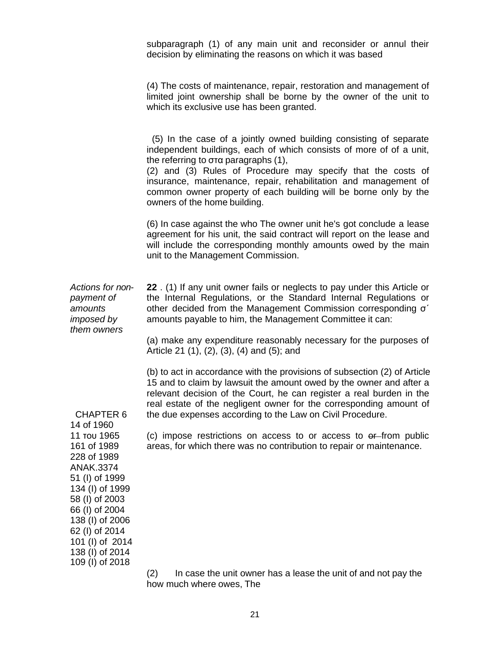subparagraph (1) of any main unit and reconsider or annul their decision by eliminating the reasons on which it was based

(4) The costs of maintenance, repair, restoration and management of limited joint ownership shall be borne by the owner of the unit to which its exclusive use has been granted.

(5) In the case of a jointly owned building consisting of separate independent buildings, each of which consists of more of of a unit, the referring to στα paragraphs (1), (2) and (3) Rules of Procedure may specify that the costs of insurance, maintenance, repair, rehabilitation and management of common owner property of each building will be borne only by the owners of the home building. (6) In case against the who The owner unit he's got conclude a lease agreement for his unit, the said contract will report on the lease and will include the corresponding monthly amounts owed by the main unit to the Management Commission. *Actions for nonpayment of amounts imposed by them owners*  CHAPTER 6 14 of 1960 11 του 1965 161 of 1989 228 of 1989 ANAK.3374 51 (I) of 1999 134 (I) of 1999 58 (I) of 2003 66 (I) of 2004 138 (I) of 2006 62 (I) of 2014 101 (I) of 2014 138 (I) of 2014 **22** . (1) If any unit owner fails or neglects to pay under this Article or the Internal Regulations, or the Standard Internal Regulations or other decided from the Management Commission corresponding σ΄ amounts payable to him, the Management Committee it can: (a) make any expenditure reasonably necessary for the purposes of Article 21 (1), (2), (3), (4) and (5); and (b) to act in accordance with the provisions of subsection (2) of Article 15 and to claim by lawsuit the amount owed by the owner and after a relevant decision of the Court, he can register a real burden in the real estate of the negligent owner for the corresponding amount of the due expenses according to the Law on Civil Procedure. (c) impose restrictions on access to or access to  $\theta$  from public areas, for which there was no contribution to repair or maintenance.

> (2) In case the unit owner has a lease the unit of and not pay the how much where owes, The

109 (I) of 2018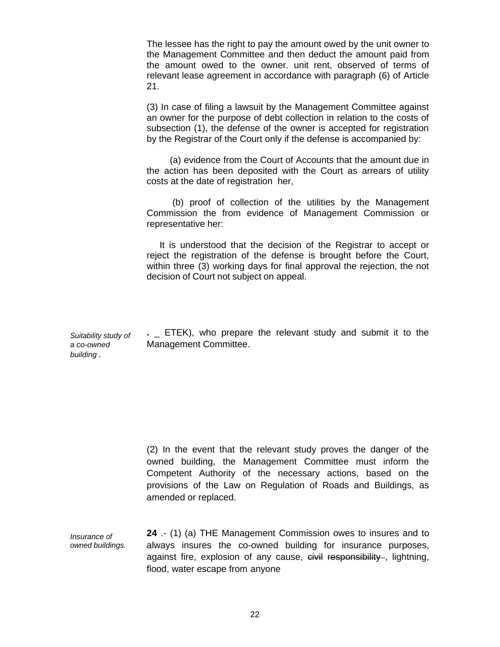The lessee has the right to pay the amount owed by the unit owner to the Management Committee and then deduct the amount paid from the amount owed to the owner. unit rent, observed of terms of relevant lease agreement in accordance with paragraph (6) of Article 21.

(3) In case of filing a lawsuit by the Management Committee against an owner for the purpose of debt collection in relation to the costs of subsection (1), the defense of the owner is accepted for registration by the Registrar of the Court only if the defense is accompanied by:

(a) evidence from the Court of Accounts that the amount due in the action has been deposited with the Court as arrears of utility costs at the date of registration her,

(b) proof of collection of the utilities by the Management Commission the from evidence of Management Commission or representative her:

It is understood that the decision of the Registrar to accept or reject the registration of the defense is brought before the Court, within three (3) working days for final approval the rejection, the not decision of Court not subject on appeal.

*Suitability study of*  **.** \_ ETEK), who prepare the relevant study and submit it to the Management Committee.

*a co-owned building .* 

> (2) In the event that the relevant study proves the danger of the owned building, the Management Committee must inform the Competent Authority of the necessary actions, based on the provisions of the Law on Regulation of Roads and Buildings, as amended or replaced.

*Insurance of owned buildings.*  **24** .- (1) (a) THE Management Commission owes to insures and to always insures the co-owned building for insurance purposes, against fire, explosion of any cause, civil responsibility, lightning, flood, water escape from anyone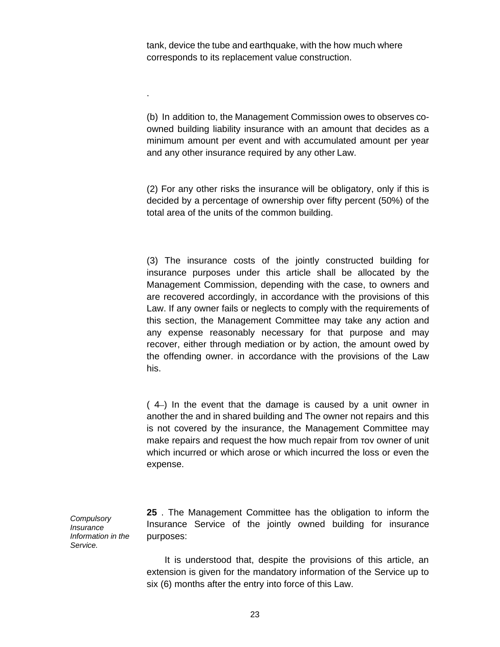tank, device the tube and earthquake, with the how much where corresponds to its replacement value construction.

.

(b) In addition to, the Management Commission owes to observes coowned building liability insurance with an amount that decides as a minimum amount per event and with accumulated amount per year and any other insurance required by any other Law.

(2) For any other risks the insurance will be obligatory, only if this is decided by a percentage of ownership over fifty percent (50%) of the total area of the units of the common building.

(3) The insurance costs of the jointly constructed building for insurance purposes under this article shall be allocated by the Management Commission, depending with the case, to owners and are recovered accordingly, in accordance with the provisions of this Law. If any owner fails or neglects to comply with the requirements of this section, the Management Committee may take any action and any expense reasonably necessary for that purpose and may recover, either through mediation or by action, the amount owed by the offending owner. in accordance with the provisions of the Law his.

( 4 ) In the event that the damage is caused by a unit owner in another the and in shared building and The owner not repairs and this is not covered by the insurance, the Management Committee may make repairs and request the how much repair from τον owner of unit which incurred or which arose or which incurred the loss or even the expense.

*Compulsory Insurance Information in the Service.* 

**25** . The Management Committee has the obligation to inform the Insurance Service of the jointly owned building for insurance purposes:

It is understood that, despite the provisions of this article, an extension is given for the mandatory information of the Service up to six (6) months after the entry into force of this Law.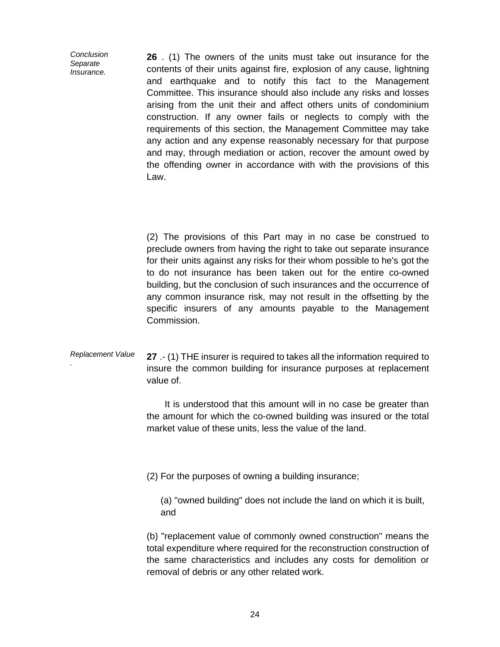*Conclusion Separate Insurance.* 

**26** . (1) The owners of the units must take out insurance for the contents of their units against fire, explosion of any cause, lightning and earthquake and to notify this fact to the Management Committee. This insurance should also include any risks and losses arising from the unit their and affect others units of condominium construction. If any owner fails or neglects to comply with the requirements of this section, the Management Committee may take any action and any expense reasonably necessary for that purpose and may, through mediation or action, recover the amount owed by the offending owner in accordance with with the provisions of this Law.

(2) The provisions of this Part may in no case be construed to preclude owners from having the right to take out separate insurance for their units against any risks for their whom possible to he's got the to do not insurance has been taken out for the entire co-owned building, but the conclusion of such insurances and the occurrence of any common insurance risk, may not result in the offsetting by the specific insurers of any amounts payable to the Management Commission.

#### *Replacement Value .* **27** .- (1) THE insurer is required to takes all the information required to insure the common building for insurance purposes at replacement value of.

It is understood that this amount will in no case be greater than the amount for which the co-owned building was insured or the total market value of these units, less the value of the land.

(2) For the purposes of owning a building insurance;

(a) "owned building" does not include the land on which it is built, and

(b) "replacement value of commonly owned construction" means the total expenditure where required for the reconstruction construction of the same characteristics and includes any costs for demolition or removal of debris or any other related work.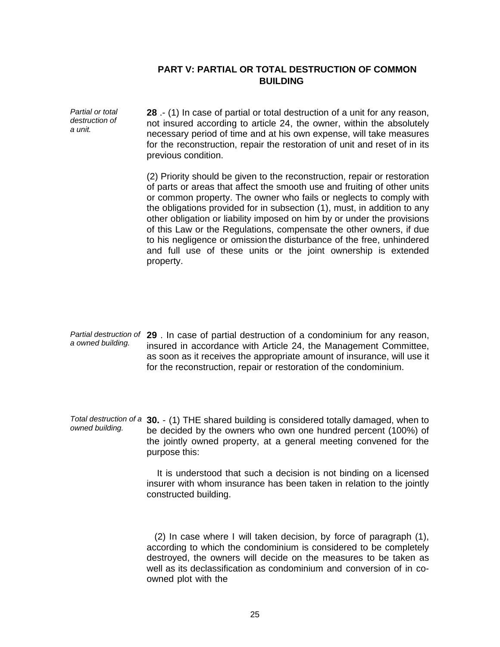# **PART V: PARTIAL OR TOTAL DESTRUCTION OF COMMON BUILDING**

*Partial or total destruction of a unit.*  **28** .- (1) In case of partial or total destruction of a unit for any reason, not insured according to article 24, the owner, within the absolutely necessary period of time and at his own expense, will take measures for the reconstruction, repair the restoration of unit and reset of in its previous condition.

> (2) Priority should be given to the reconstruction, repair or restoration of parts or areas that affect the smooth use and fruiting of other units or common property. The owner who fails or neglects to comply with the obligations provided for in subsection (1), must, in addition to any other obligation or liability imposed on him by or under the provisions of this Law or the Regulations, compensate the other owners, if due to his negligence or omission the disturbance of the free, unhindered and full use of these units or the joint ownership is extended property.

- *Partial destruction of*  **29** . In case of partial destruction of a condominium for any reason, *a owned building.*  insured in accordance with Article 24, the Management Committee, as soon as it receives the appropriate amount of insurance, will use it for the reconstruction, repair or restoration of the condominium.
- *Total destruction of a*  **30.**  (1) THE shared building is considered totally damaged, when to *owned building.*  be decided by the owners who own one hundred percent (100%) of the jointly owned property, at a general meeting convened for the purpose this:

It is understood that such a decision is not binding on a licensed insurer with whom insurance has been taken in relation to the jointly constructed building.

(2) In case where I will taken decision, by force of paragraph (1), according to which the condominium is considered to be completely destroyed, the owners will decide on the measures to be taken as well as its declassification as condominium and conversion of in coowned plot with the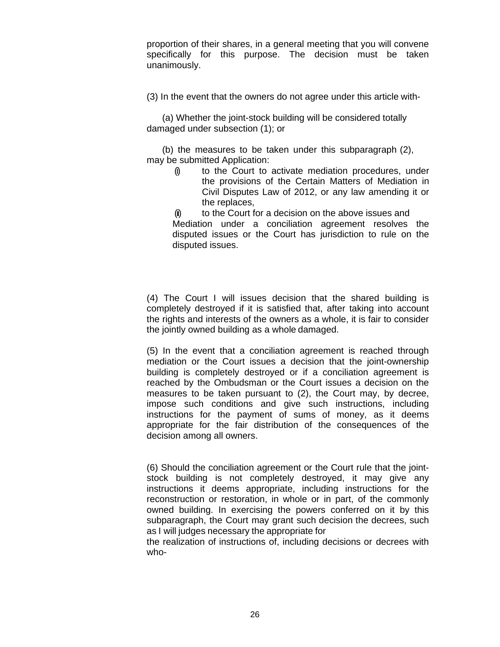proportion of their shares, in a general meeting that you will convene specifically for this purpose. The decision must be taken unanimously.

(3) In the event that the owners do not agree under this article with-

(a) Whether the joint-stock building will be considered totally damaged under subsection (1); or

(b) the measures to be taken under this subparagraph (2), may be submitted Application:

(i) to the Court to activate mediation procedures, under the provisions of the Certain Matters of Mediation in Civil Disputes Law of 2012, or any law amending it or the replaces,

(ii) to the Court for a decision on the above issues and Mediation under a conciliation agreement resolves the disputed issues or the Court has jurisdiction to rule on the disputed issues.

(4) The Court I will issues decision that the shared building is completely destroyed if it is satisfied that, after taking into account the rights and interests of the owners as a whole, it is fair to consider the jointly owned building as a whole damaged.

(5) In the event that a conciliation agreement is reached through mediation or the Court issues a decision that the joint-ownership building is completely destroyed or if a conciliation agreement is reached by the Ombudsman or the Court issues a decision on the measures to be taken pursuant to (2), the Court may, by decree, impose such conditions and give such instructions, including instructions for the payment of sums of money, as it deems appropriate for the fair distribution of the consequences of the decision among all owners.

(6) Should the conciliation agreement or the Court rule that the jointstock building is not completely destroyed, it may give any instructions it deems appropriate, including instructions for the reconstruction or restoration, in whole or in part, of the commonly owned building. In exercising the powers conferred on it by this subparagraph, the Court may grant such decision the decrees, such as I will judges necessary the appropriate for

the realization of instructions of, including decisions or decrees with who-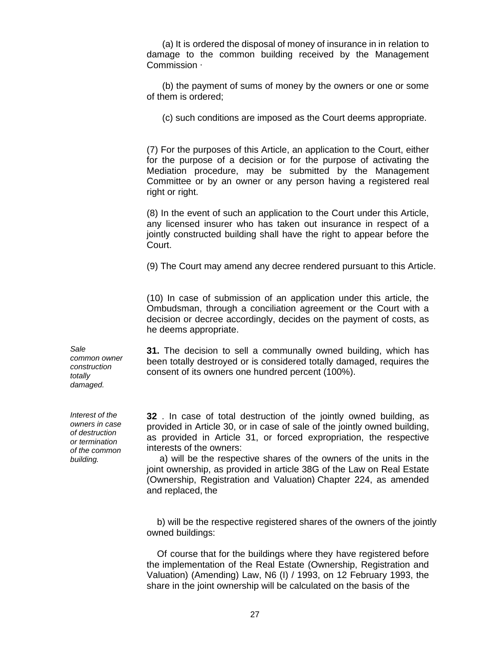(a) It is ordered the disposal of money of insurance in in relation to damage to the common building received by the Management Commission ∙

(b) the payment of sums of money by the owners or one or some of them is ordered;

(c) such conditions are imposed as the Court deems appropriate.

(7) For the purposes of this Article, an application to the Court, either for the purpose of a decision or for the purpose of activating the Mediation procedure, may be submitted by the Management Committee or by an owner or any person having a registered real right or right.

(8) In the event of such an application to the Court under this Article, any licensed insurer who has taken out insurance in respect of a jointly constructed building shall have the right to appear before the Court.

(9) The Court may amend any decree rendered pursuant to this Article.

(10) In case of submission of an application under this article, the Ombudsman, through a conciliation agreement or the Court with a decision or decree accordingly, decides on the payment of costs, as he deems appropriate.

*Sale* **31.** The decision to sell a communally owned building, which has been totally destroyed or is considered totally damaged, requires the consent of its owners one hundred percent (100%).

> **32** . In case of total destruction of the jointly owned building, as provided in Article 30, or in case of sale of the jointly owned building, as provided in Article 31, or forced expropriation, the respective interests of the owners:

> a) will be the respective shares of the owners of the units in the joint ownership, as provided in article 38G of the Law on Real Estate (Ownership, Registration and Valuation) Chapter 224, as amended and replaced, the

b) will be the respective registered shares of the owners of the jointly owned buildings:

Of course that for the buildings where they have registered before the implementation of the Real Estate (Ownership, Registration and Valuation) (Amending) Law, N6 (I) / 1993, on 12 February 1993, the share in the joint ownership will be calculated on the basis of the

*common owner construction totally damaged.* 

*Interest of the owners in case of destruction or termination of the common building.*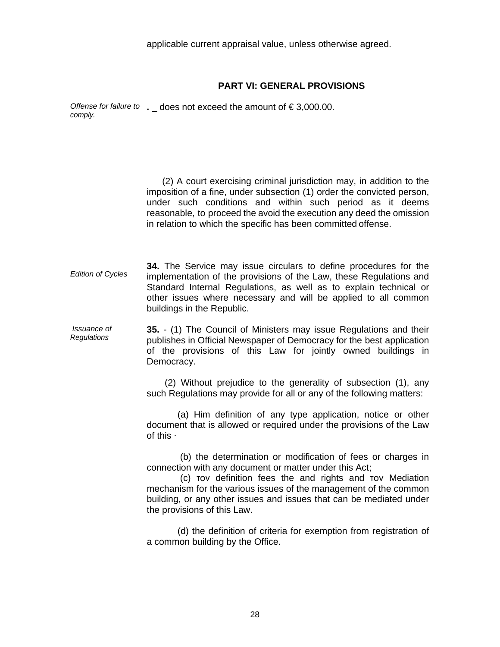applicable current appraisal value, unless otherwise agreed.

### **PART VI: GENERAL PROVISIONS**

*Offense for failure to* . \_ does not exceed the amount of €3,000.00.<br>*comply.* 

(2) A court exercising criminal jurisdiction may, in addition to the imposition of a fine, under subsection (1) order the convicted person, under such conditions and within such period as it deems reasonable, to proceed the avoid the execution any deed the omission in relation to which the specific has been committed offense.

*Edition of Cycles*  **34.** The Service may issue circulars to define procedures for the implementation of the provisions of the Law, these Regulations and Standard Internal Regulations, as well as to explain technical or other issues where necessary and will be applied to all common buildings in the Republic.

*Issuance of Regulations* **35.** - (1) The Council of Ministers may issue Regulations and their publishes in Official Newspaper of Democracy for the best application of the provisions of this Law for jointly owned buildings in Democracy.

> (2) Without prejudice to the generality of subsection (1), any such Regulations may provide for all or any of the following matters:

> (a) Him definition of any type application, notice or other document that is allowed or required under the provisions of the Law of this ∙

> (b) the determination or modification of fees or charges in connection with any document or matter under this Act;

> (c) τον definition fees the and rights and τον Mediation mechanism for the various issues of the management of the common building, or any other issues and issues that can be mediated under the provisions of this Law.

> (d) the definition of criteria for exemption from registration of a common building by the Office.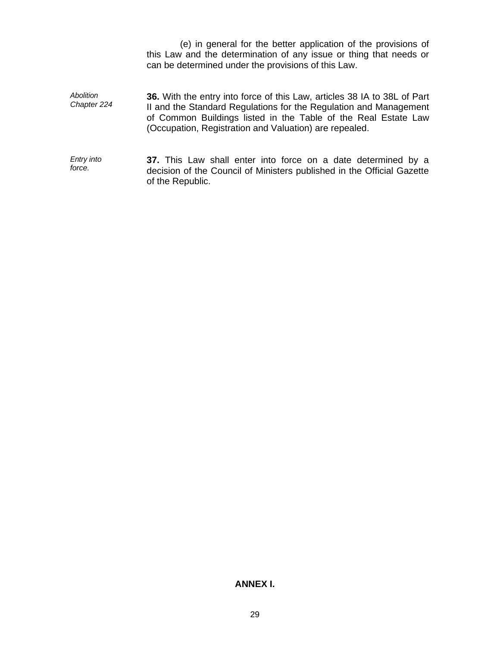(e) in general for the better application of the provisions of this Law and the determination of any issue or thing that needs or can be determined under the provisions of this Law.

*Abolition Chapter 224*  **36.** With the entry into force of this Law, articles 38 IA to 38L of Part II and the Standard Regulations for the Regulation and Management of Common Buildings listed in the Table of the Real Estate Law (Occupation, Registration and Valuation) are repealed.

*Entry into force.*  **37.** This Law shall enter into force on a date determined by a decision of the Council of Ministers published in the Official Gazette of the Republic.

# **ANNEX I.**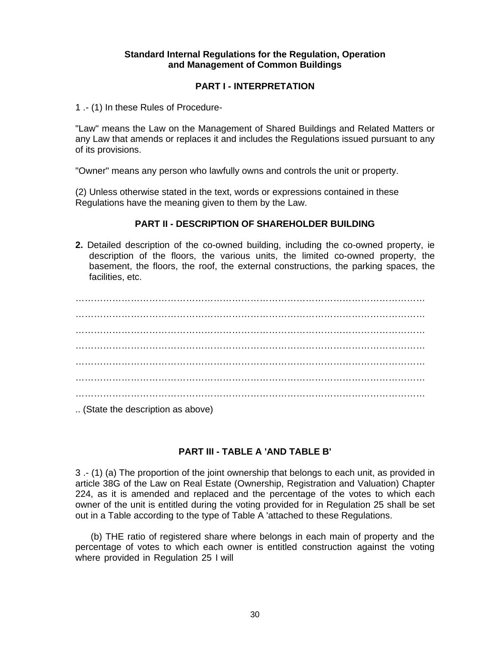# **Standard Internal Regulations for the Regulation, Operation and Management of Common Buildings**

# **PART I - INTERPRETATION**

1 .- (1) In these Rules of Procedure-

"Law" means the Law on the Management of Shared Buildings and Related Matters or any Law that amends or replaces it and includes the Regulations issued pursuant to any of its provisions.

"Owner" means any person who lawfully owns and controls the unit or property.

(2) Unless otherwise stated in the text, words or expressions contained in these Regulations have the meaning given to them by the Law.

### **PART II - DESCRIPTION OF SHAREHOLDER BUILDING**

**2.** Detailed description of the co-owned building, including the co-owned property, ie description of the floors, the various units, the limited co-owned property, the basement, the floors, the roof, the external constructions, the parking spaces, the facilities, etc.

…………………………………………………………………………………………………… …………………………………………………………………………………………………… …………………………………………………………………………………………………… …………………………………………………………………………………………………… …………………………………………………………………………………………………… …………………………………………………………………………………………………… …………………………………………………………………………………………………… .. (State the description as above)

# **PART III - TABLE A 'AND TABLE B'**

3 .- (1) (a) The proportion of the joint ownership that belongs to each unit, as provided in article 38G of the Law on Real Estate (Ownership, Registration and Valuation) Chapter 224, as it is amended and replaced and the percentage of the votes to which each owner of the unit is entitled during the voting provided for in Regulation 25 shall be set out in a Table according to the type of Table A 'attached to these Regulations.

(b) THE ratio of registered share where belongs in each main of property and the percentage of votes to which each owner is entitled construction against the voting where provided in Regulation 25 I will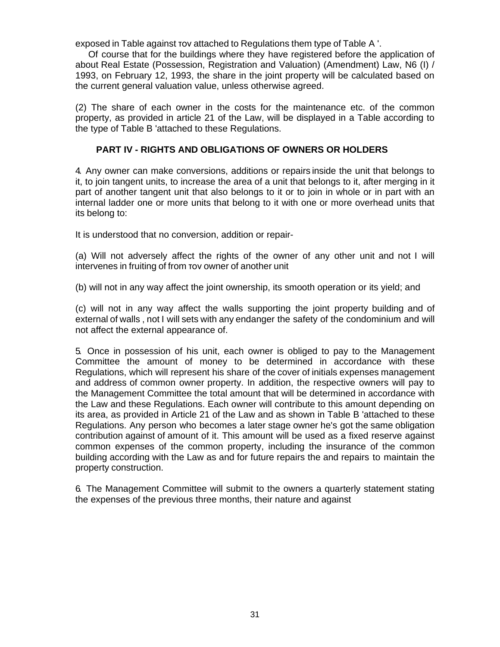exposed in Table against τον attached to Regulations them type of Table A '.

Of course that for the buildings where they have registered before the application of about Real Estate (Possession, Registration and Valuation) (Amendment) Law, N6 (I) / 1993, on February 12, 1993, the share in the joint property will be calculated based on the current general valuation value, unless otherwise agreed.

(2) The share of each owner in the costs for the maintenance etc. of the common property, as provided in article 21 of the Law, will be displayed in a Table according to the type of Table B 'attached to these Regulations.

# **PART IV - RIGHTS AND OBLIGATIONS OF OWNERS OR HOLDERS**

4. Any owner can make conversions, additions or repairs inside the unit that belongs to it, to join tangent units, to increase the area of a unit that belongs to it, after merging in it part of another tangent unit that also belongs to it or to join in whole or in part with an internal ladder one or more units that belong to it with one or more overhead units that its belong to:

It is understood that no conversion, addition or repair-

(a) Will not adversely affect the rights of the owner of any other unit and not I will intervenes in fruiting of from τον owner of another unit

(b) will not in any way affect the joint ownership, its smooth operation or its yield; and

(c) will not in any way affect the walls supporting the joint property building and of external of walls , not I will sets with any endanger the safety of the condominium and will not affect the external appearance of.

5. Once in possession of his unit, each owner is obliged to pay to the Management Committee the amount of money to be determined in accordance with these Regulations, which will represent his share of the cover of initials expenses management and address of common owner property. In addition, the respective owners will pay to the Management Committee the total amount that will be determined in accordance with the Law and these Regulations. Each owner will contribute to this amount depending on its area, as provided in Article 21 of the Law and as shown in Table B 'attached to these Regulations. Any person who becomes a later stage owner he's got the same obligation contribution against of amount of it. This amount will be used as a fixed reserve against common expenses of the common property, including the insurance of the common building according with the Law as and for future repairs the and repairs to maintain the property construction.

6. The Management Committee will submit to the owners a quarterly statement stating the expenses of the previous three months, their nature and against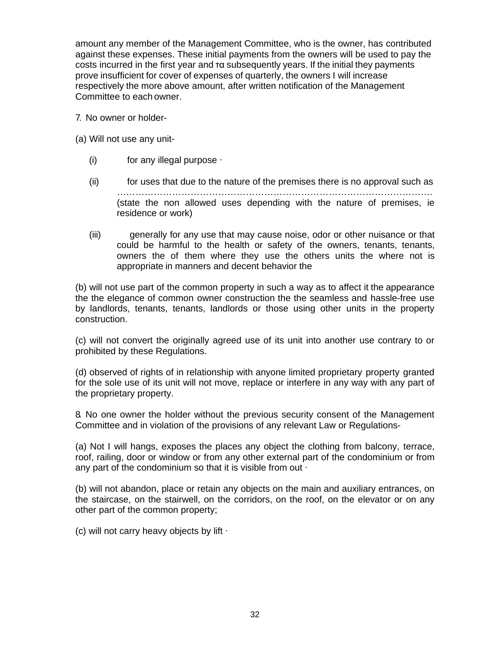amount any member of the Management Committee, who is the owner, has contributed against these expenses. These initial payments from the owners will be used to pay the costs incurred in the first year and τα subsequently years. If the initial they payments prove insufficient for cover of expenses of quarterly, the owners I will increase respectively the more above amount, after written notification of the Management Committee to each owner.

7. No owner or holder-

(a) Will not use any unit-

- (i) for any illegal purpose ∙
- (ii) for uses that due to the nature of the premises there is no approval such as …………………………………………………………………………………………. (state the non allowed uses depending with the nature of premises, ie residence or work)
- (iii) generally for any use that may cause noise, odor or other nuisance or that could be harmful to the health or safety of the owners, tenants, tenants, owners the of them where they use the others units the where not is appropriate in manners and decent behavior the

(b) will not use part of the common property in such a way as to affect it the appearance the the elegance of common owner construction the the seamless and hassle-free use by landlords, tenants, tenants, landlords or those using other units in the property construction.

(c) will not convert the originally agreed use of its unit into another use contrary to or prohibited by these Regulations.

(d) observed of rights of in relationship with anyone limited proprietary property granted for the sole use of its unit will not move, replace or interfere in any way with any part of the proprietary property.

8. No one owner the holder without the previous security consent of the Management Committee and in violation of the provisions of any relevant Law or Regulations-

(a) Not I will hangs, exposes the places any object the clothing from balcony, terrace, roof, railing, door or window or from any other external part of the condominium or from any part of the condominium so that it is visible from out ∙

(b) will not abandon, place or retain any objects on the main and auxiliary entrances, on the staircase, on the stairwell, on the corridors, on the roof, on the elevator or on any other part of the common property;

(c) will not carry heavy objects by lift ∙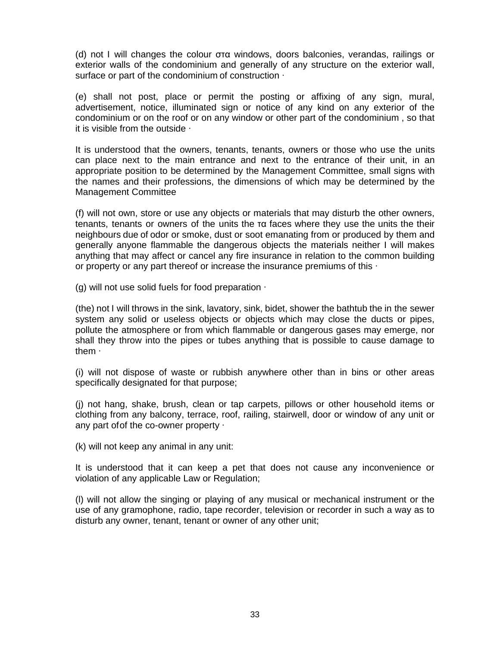(d) not I will changes the colour στα windows, doors balconies, verandas, railings or exterior walls of the condominium and generally of any structure on the exterior wall, surface or part of the condominium of construction ∙

(e) shall not post, place or permit the posting or affixing of any sign, mural, advertisement, notice, illuminated sign or notice of any kind on any exterior of the condominium or on the roof or on any window or other part of the condominium , so that it is visible from the outside ∙

It is understood that the owners, tenants, tenants, owners or those who use the units can place next to the main entrance and next to the entrance of their unit, in an appropriate position to be determined by the Management Committee, small signs with the names and their professions, the dimensions of which may be determined by the Management Committee

(f) will not own, store or use any objects or materials that may disturb the other owners, tenants, tenants or owners of the units the τα faces where they use the units the their neighbours due of odor or smoke, dust or soot emanating from or produced by them and generally anyone flammable the dangerous objects the materials neither I will makes anything that may affect or cancel any fire insurance in relation to the common building or property or any part thereof or increase the insurance premiums of this ∙

(g) will not use solid fuels for food preparation ∙

(the) not I will throws in the sink, lavatory, sink, bidet, shower the bathtub the in the sewer system any solid or useless objects or objects which may close the ducts or pipes, pollute the atmosphere or from which flammable or dangerous gases may emerge, nor shall they throw into the pipes or tubes anything that is possible to cause damage to them ∙

(i) will not dispose of waste or rubbish anywhere other than in bins or other areas specifically designated for that purpose;

(j) not hang, shake, brush, clean or tap carpets, pillows or other household items or clothing from any balcony, terrace, roof, railing, stairwell, door or window of any unit or any part of of the co-owner property ⋅

(k) will not keep any animal in any unit:

It is understood that it can keep a pet that does not cause any inconvenience or violation of any applicable Law or Regulation;

(l) will not allow the singing or playing of any musical or mechanical instrument or the use of any gramophone, radio, tape recorder, television or recorder in such a way as to disturb any owner, tenant, tenant or owner of any other unit;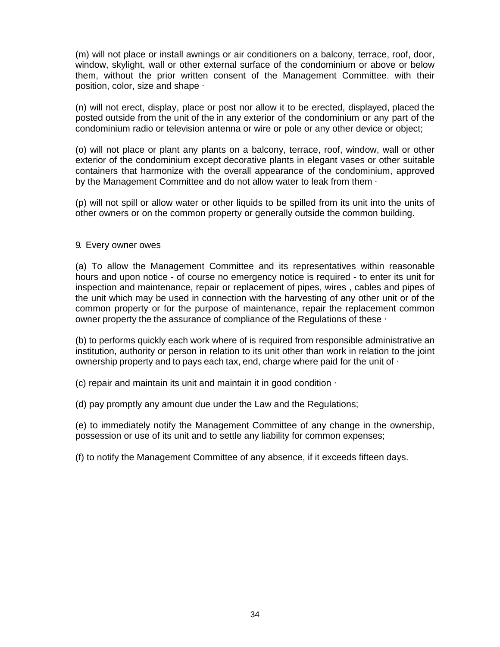(m) will not place or install awnings or air conditioners on a balcony, terrace, roof, door, window, skylight, wall or other external surface of the condominium or above or below them, without the prior written consent of the Management Committee. with their position, color, size and shape ∙

(n) will not erect, display, place or post nor allow it to be erected, displayed, placed the posted outside from the unit of the in any exterior of the condominium or any part of the condominium radio or television antenna or wire or pole or any other device or object;

(o) will not place or plant any plants on a balcony, terrace, roof, window, wall or other exterior of the condominium except decorative plants in elegant vases or other suitable containers that harmonize with the overall appearance of the condominium, approved by the Management Committee and do not allow water to leak from them ∙

(p) will not spill or allow water or other liquids to be spilled from its unit into the units of other owners or on the common property or generally outside the common building.

### 9. Every owner owes

(a) To allow the Management Committee and its representatives within reasonable hours and upon notice - of course no emergency notice is required - to enter its unit for inspection and maintenance, repair or replacement of pipes, wires , cables and pipes of the unit which may be used in connection with the harvesting of any other unit or of the common property or for the purpose of maintenance, repair the replacement common owner property the the assurance of compliance of the Regulations of these ∙

(b) to performs quickly each work where of is required from responsible administrative an institution, authority or person in relation to its unit other than work in relation to the joint ownership property and to pays each tax, end, charge where paid for the unit of ∙

(c) repair and maintain its unit and maintain it in good condition ∙

(d) pay promptly any amount due under the Law and the Regulations;

(e) to immediately notify the Management Committee of any change in the ownership, possession or use of its unit and to settle any liability for common expenses;

(f) to notify the Management Committee of any absence, if it exceeds fifteen days.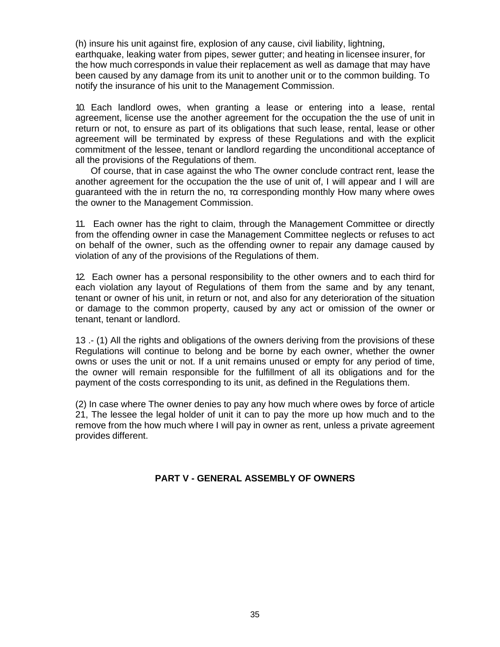(h) insure his unit against fire, explosion of any cause, civil liability, lightning, earthquake, leaking water from pipes, sewer gutter; and heating in licensee insurer, for the how much corresponds in value their replacement as well as damage that may have been caused by any damage from its unit to another unit or to the common building. To notify the insurance of his unit to the Management Commission.

10. Each landlord owes, when granting a lease or entering into a lease, rental agreement, license use the another agreement for the occupation the the use of unit in return or not, to ensure as part of its obligations that such lease, rental, lease or other agreement will be terminated by express of these Regulations and with the explicit commitment of the lessee, tenant or landlord regarding the unconditional acceptance of all the provisions of the Regulations of them.

Of course, that in case against the who The owner conclude contract rent, lease the another agreement for the occupation the the use of unit of, I will appear and I will are guaranteed with the in return the no, τα corresponding monthly How many where owes the owner to the Management Commission.

11. Each owner has the right to claim, through the Management Committee or directly from the offending owner in case the Management Committee neglects or refuses to act on behalf of the owner, such as the offending owner to repair any damage caused by violation of any of the provisions of the Regulations of them.

12. Each owner has a personal responsibility to the other owners and to each third for each violation any layout of Regulations of them from the same and by any tenant, tenant or owner of his unit, in return or not, and also for any deterioration of the situation or damage to the common property, caused by any act or omission of the owner or tenant, tenant or landlord.

13 .- (1) All the rights and obligations of the owners deriving from the provisions of these Regulations will continue to belong and be borne by each owner, whether the owner owns or uses the unit or not. If a unit remains unused or empty for any period of time, the owner will remain responsible for the fulfillment of all its obligations and for the payment of the costs corresponding to its unit, as defined in the Regulations them.

(2) In case where The owner denies to pay any how much where owes by force of article 21, The lessee the legal holder of unit it can to pay the more up how much and to the remove from the how much where I will pay in owner as rent, unless a private agreement provides different.

# **PART V - GENERAL ASSEMBLY OF OWNERS**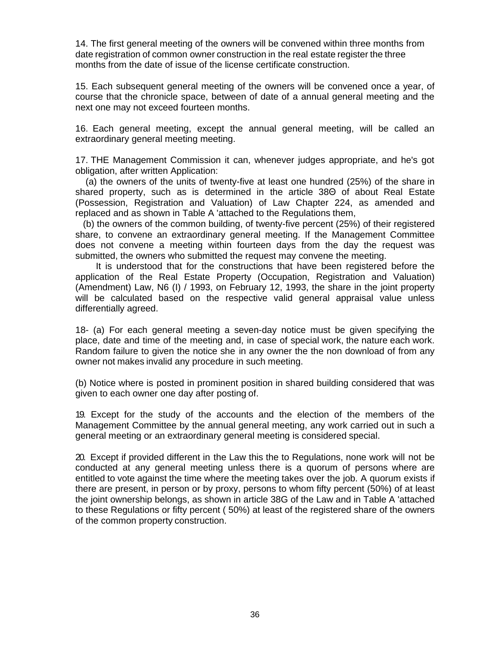14. The first general meeting of the owners will be convened within three months from date registration of common owner construction in the real estate register the three months from the date of issue of the license certificate construction.

15. Each subsequent general meeting of the owners will be convened once a year, of course that the chronicle space, between of date of a annual general meeting and the next one may not exceed fourteen months.

16. Each general meeting, except the annual general meeting, will be called an extraordinary general meeting meeting.

17. THE Management Commission it can, whenever judges appropriate, and he's got obligation, after written Application:

(a) the owners of the units of twenty-five at least one hundred (25%) of the share in shared property, such as is determined in the article 38Θ of about Real Estate (Possession, Registration and Valuation) of Law Chapter 224, as amended and replaced and as shown in Table A 'attached to the Regulations them,

(b) the owners of the common building, of twenty-five percent (25%) of their registered share, to convene an extraordinary general meeting. If the Management Committee does not convene a meeting within fourteen days from the day the request was submitted, the owners who submitted the request may convene the meeting.

It is understood that for the constructions that have been registered before the application of the Real Estate Property (Occupation, Registration and Valuation) (Amendment) Law, N6 (I) / 1993, on February 12, 1993, the share in the joint property will be calculated based on the respective valid general appraisal value unless differentially agreed.

18- (a) For each general meeting a seven-day notice must be given specifying the place, date and time of the meeting and, in case of special work, the nature each work. Random failure to given the notice she in any owner the the non download of from any owner not makes invalid any procedure in such meeting.

(b) Notice where is posted in prominent position in shared building considered that was given to each owner one day after posting of.

19. Except for the study of the accounts and the election of the members of the Management Committee by the annual general meeting, any work carried out in such a general meeting or an extraordinary general meeting is considered special.

20. Except if provided different in the Law this the to Regulations, none work will not be conducted at any general meeting unless there is a quorum of persons where are entitled to vote against the time where the meeting takes over the job. A quorum exists if there are present, in person or by proxy, persons to whom fifty percent (50%) of at least the joint ownership belongs, as shown in article 38G of the Law and in Table A 'attached to these Regulations or fifty percent ( 50%) at least of the registered share of the owners of the common property construction.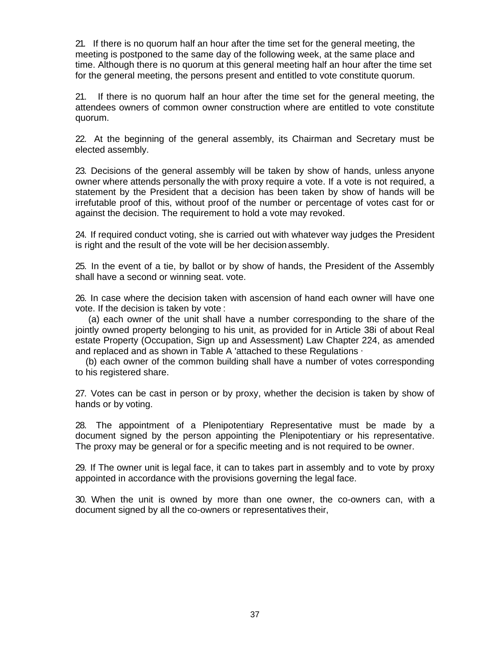21. If there is no quorum half an hour after the time set for the general meeting, the meeting is postponed to the same day of the following week, at the same place and time. Although there is no quorum at this general meeting half an hour after the time set for the general meeting, the persons present and entitled to vote constitute quorum.

21. If there is no quorum half an hour after the time set for the general meeting, the attendees owners of common owner construction where are entitled to vote constitute quorum.

22. At the beginning of the general assembly, its Chairman and Secretary must be elected assembly.

23. Decisions of the general assembly will be taken by show of hands, unless anyone owner where attends personally the with proxy require a vote. If a vote is not required, a statement by the President that a decision has been taken by show of hands will be irrefutable proof of this, without proof of the number or percentage of votes cast for or against the decision. The requirement to hold a vote may revoked.

24. If required conduct voting, she is carried out with whatever way judges the President is right and the result of the vote will be her decision assembly.

25. In the event of a tie, by ballot or by show of hands, the President of the Assembly shall have a second or winning seat. vote.

26. In case where the decision taken with ascension of hand each owner will have one vote. If the decision is taken by vote :

(a) each owner of the unit shall have a number corresponding to the share of the jointly owned property belonging to his unit, as provided for in Article 38i of about Real estate Property (Occupation, Sign up and Assessment) Law Chapter 224, as amended and replaced and as shown in Table A 'attached to these Regulations ∙

(b) each owner of the common building shall have a number of votes corresponding to his registered share.

27. Votes can be cast in person or by proxy, whether the decision is taken by show of hands or by voting.

28. The appointment of a Plenipotentiary Representative must be made by a document signed by the person appointing the Plenipotentiary or his representative. The proxy may be general or for a specific meeting and is not required to be owner.

29. If The owner unit is legal face, it can to takes part in assembly and to vote by proxy appointed in accordance with the provisions governing the legal face.

30. When the unit is owned by more than one owner, the co-owners can, with a document signed by all the co-owners or representatives their,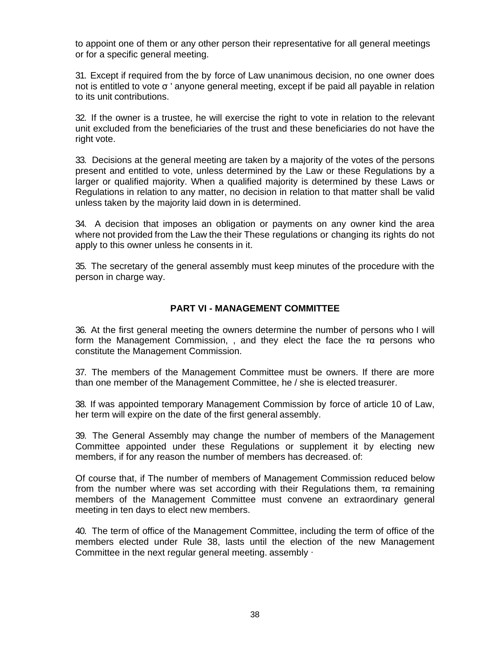to appoint one of them or any other person their representative for all general meetings or for a specific general meeting.

31. Except if required from the by force of Law unanimous decision, no one owner does not is entitled to vote σ ' anyone general meeting, except if be paid all payable in relation to its unit contributions.

32. If the owner is a trustee, he will exercise the right to vote in relation to the relevant unit excluded from the beneficiaries of the trust and these beneficiaries do not have the right vote.

33. Decisions at the general meeting are taken by a majority of the votes of the persons present and entitled to vote, unless determined by the Law or these Regulations by a larger or qualified majority. When a qualified majority is determined by these Laws or Regulations in relation to any matter, no decision in relation to that matter shall be valid unless taken by the majority laid down in is determined.

34. A decision that imposes an obligation or payments on any owner kind the area where not provided from the Law the their These regulations or changing its rights do not apply to this owner unless he consents in it.

35. The secretary of the general assembly must keep minutes of the procedure with the person in charge way.

# **PART VI - MANAGEMENT COMMITTEE**

36. At the first general meeting the owners determine the number of persons who I will form the Management Commission, , and they elect the face the τα persons who constitute the Management Commission.

37. The members of the Management Committee must be owners. If there are more than one member of the Management Committee, he / she is elected treasurer.

38. If was appointed temporary Management Commission by force of article 10 of Law, her term will expire on the date of the first general assembly.

39. The General Assembly may change the number of members of the Management Committee appointed under these Regulations or supplement it by electing new members, if for any reason the number of members has decreased. of:

Of course that, if The number of members of Management Commission reduced below from the number where was set according with their Regulations them, τα remaining members of the Management Committee must convene an extraordinary general meeting in ten days to elect new members.

40. The term of office of the Management Committee, including the term of office of the members elected under Rule 38, lasts until the election of the new Management Committee in the next regular general meeting. assembly ∙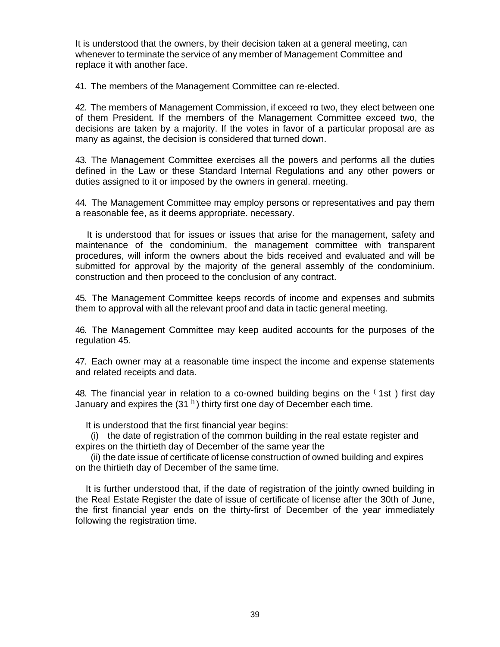It is understood that the owners, by their decision taken at a general meeting, can whenever to terminate the service of any member of Management Committee and replace it with another face.

41. The members of the Management Committee can re-elected.

42. The members of Management Commission, if exceed τα two, they elect between one of them President. If the members of the Management Committee exceed two, the decisions are taken by a majority. If the votes in favor of a particular proposal are as many as against, the decision is considered that turned down.

43. The Management Committee exercises all the powers and performs all the duties defined in the Law or these Standard Internal Regulations and any other powers or duties assigned to it or imposed by the owners in general. meeting.

44. The Management Committee may employ persons or representatives and pay them a reasonable fee, as it deems appropriate. necessary.

It is understood that for issues or issues that arise for the management, safety and maintenance of the condominium, the management committee with transparent procedures, will inform the owners about the bids received and evaluated and will be submitted for approval by the majority of the general assembly of the condominium. construction and then proceed to the conclusion of any contract.

45. The Management Committee keeps records of income and expenses and submits them to approval with all the relevant proof and data in tactic general meeting.

46. The Management Committee may keep audited accounts for the purposes of the regulation 45.

47. Each owner may at a reasonable time inspect the income and expense statements and related receipts and data.

48. The financial year in relation to a co-owned building begins on the  $(1st)$  first day January and expires the  $(31<sup>h</sup>)$  thirty first one day of December each time.

It is understood that the first financial year begins:

(i) the date of registration of the common building in the real estate register and expires on the thirtieth day of December of the same year the

(ii) the date issue of certificate of license construction of owned building and expires on the thirtieth day of December of the same time.

It is further understood that, if the date of registration of the jointly owned building in the Real Estate Register the date of issue of certificate of license after the 30th of June, the first financial year ends on the thirty-first of December of the year immediately following the registration time.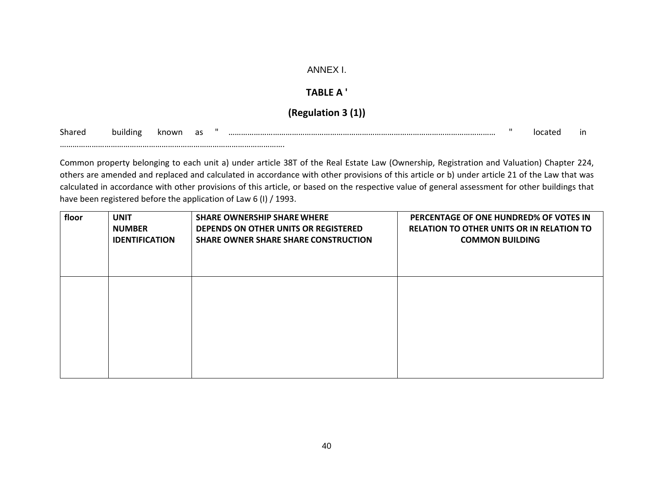### ANNEX I.

### **TABLE A '**

# **(Regulation 3 (1))**

Sharedbuilding known as " ……………………………………………………………………………………………………………… " located in

…………………………………………………………………………………………….

Common property belonging to each unit a) under article 38T of the Real Estate Law (Ownership, Registration and Valuation) Chapter 224, others are amended and replaced and calculated in accordance with other provisions of this article or b) under article 21 of the Law that was calculated in accordance with other provisions of this article, or based on the respective value of general assessment for other buildings that have been registered before the application of Law 6 (I) / 1993.

| floor | <b>UNIT</b>           | <b>SHARE OWNERSHIP SHARE WHERE</b>          | PERCENTAGE OF ONE HUNDRED% OF VOTES IN           |
|-------|-----------------------|---------------------------------------------|--------------------------------------------------|
|       | <b>NUMBER</b>         | DEPENDS ON OTHER UNITS OR REGISTERED        | <b>RELATION TO OTHER UNITS OR IN RELATION TO</b> |
|       | <b>IDENTIFICATION</b> | <b>SHARE OWNER SHARE SHARE CONSTRUCTION</b> | <b>COMMON BUILDING</b>                           |
|       |                       |                                             |                                                  |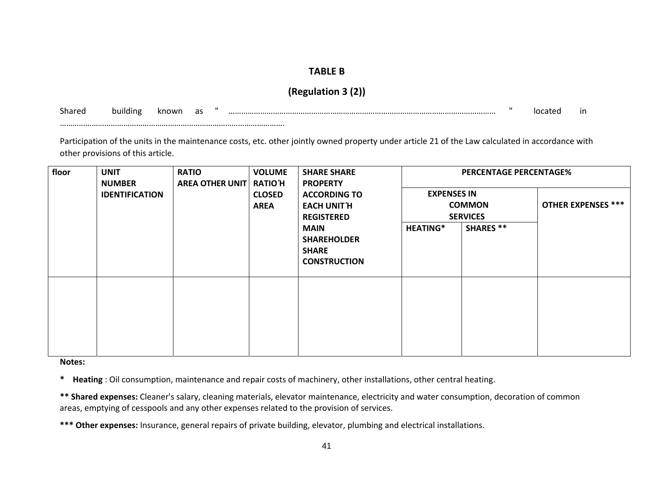# **TABLE B**

# **(Regulation 3 (2))**

Sharedbuilding known as " ……………………………………………………………………………………………………………… " located in

Participation of the units in the maintenance costs, etc. other jointly owned property under article 21 of the Law calculated in accordance with other provisions of this article.

| floor | <b>VOLUME</b><br><b>UNIT</b><br><b>SHARE SHARE</b><br><b>RATIO</b><br><b>RATIO'H</b><br><b>AREA OTHER UNIT</b><br><b>NUMBER</b><br><b>PROPERTY</b><br><b>CLOSED</b><br><b>ACCORDING TO</b><br><b>IDENTIFICATION</b> |  |             | <b>PERCENTAGE PERCENTAGE%</b><br><b>EXPENSES IN</b>                      |                                  |                  |                           |
|-------|---------------------------------------------------------------------------------------------------------------------------------------------------------------------------------------------------------------------|--|-------------|--------------------------------------------------------------------------|----------------------------------|------------------|---------------------------|
|       |                                                                                                                                                                                                                     |  | <b>AREA</b> | <b>EACH UNIT'H</b><br><b>REGISTERED</b>                                  | <b>COMMON</b><br><b>SERVICES</b> |                  | <b>OTHER EXPENSES ***</b> |
|       |                                                                                                                                                                                                                     |  |             | <b>MAIN</b><br><b>SHAREHOLDER</b><br><b>SHARE</b><br><b>CONSTRUCTION</b> | <b>HEATING*</b>                  | <b>SHARES **</b> |                           |
|       |                                                                                                                                                                                                                     |  |             |                                                                          |                                  |                  |                           |

**Notes:**

…………………………………………………………………………………………….

**\* Heating** : Oil consumption, maintenance and repair costs of machinery, other installations, other central heating.

**\*\* Shared expenses:** Cleaner's salary, cleaning materials, elevator maintenance, electricity and water consumption, decoration of common areas, emptying of cesspools and any other expenses related to the provision of services.

**\*\*\* Other expenses:** Insurance, general repairs of private building, elevator, plumbing and electrical installations.